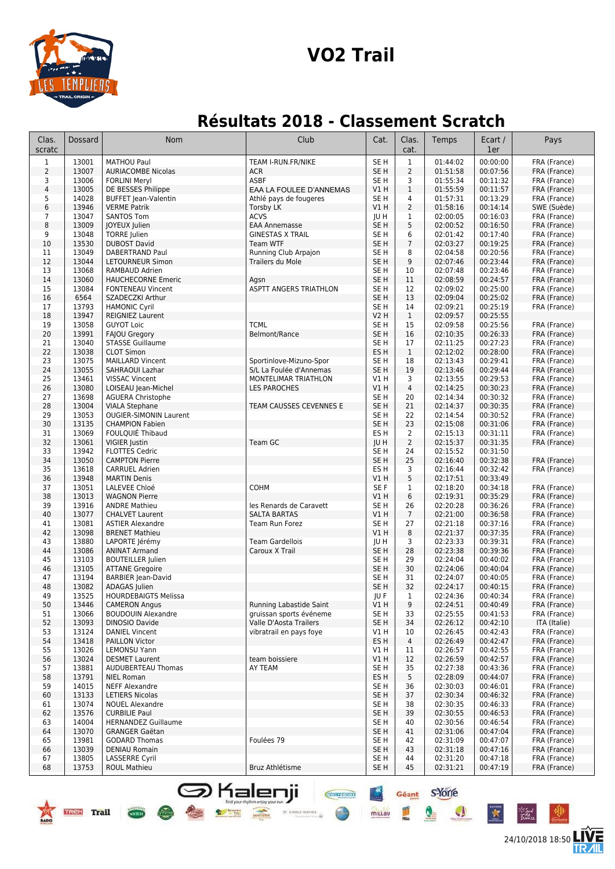

# **VO2 Trail**

# **Résultats 2018 - Classement Scratch**

| Clas.<br>scratc | Dossard           | Nom                                                | Club                                               | Cat.                               | Clas.<br>cat.        | Temps                | Ecart /<br>1er       | Pays                                                               |
|-----------------|-------------------|----------------------------------------------------|----------------------------------------------------|------------------------------------|----------------------|----------------------|----------------------|--------------------------------------------------------------------|
| $\mathbf{1}$    | 13001             | <b>MATHOU Paul</b>                                 | TEAM I-RUN.FR/NIKE                                 | SE <sub>H</sub>                    | $\mathbf{1}$         | 01:44:02             | 00:00:00             | FRA (France)                                                       |
| $\overline{2}$  | 13007             | <b>AURIACOMBE Nicolas</b>                          | ACR                                                | SE <sub>H</sub>                    | $\overline{2}$       | 01:51:58             | 00:07:56             | FRA (France)                                                       |
| 3               | 13006             | <b>FORLINI Meryl</b>                               | ASBF                                               | SE H                               | 3                    | 01:55:34             | 00:11:32             | FRA (France)                                                       |
| $\sqrt{4}$<br>5 | 13005<br>14028    | DE BESSES Philippe                                 | EAA LA FOULEE D'ANNEMAS                            | V1 H<br>SE H                       | $\mathbf{1}$<br>4    | 01:55:59<br>01:57:31 | 00:11:57<br>00:13:29 | FRA (France)                                                       |
| 6               | 13946             | <b>BUFFET Jean-Valentin</b><br><b>VERME Patrik</b> | Athlé pays de fougeres<br><b>Torsby LK</b>         | V1 H                               | $\overline{2}$       | 01:58:16             | 00:14:14             | FRA (France)<br>SWE (Suède)                                        |
| $7\overline{ }$ | 13047             | <b>SANTOS Tom</b>                                  | <b>ACVS</b>                                        | JU H                               | $\mathbf{1}$         | 02:00:05             | 00:16:03             | FRA (France)                                                       |
| 8               | 13009             | JOYEUX Julien                                      | <b>EAA Annemasse</b>                               | SE <sub>H</sub>                    | 5                    | 02:00:52             | 00:16:50             | FRA (France)                                                       |
| 9               | 13048             | <b>TORRE</b> Julien                                | <b>GINESTAS X TRAIL</b>                            | SE <sub>H</sub>                    | 6                    | 02:01:42             | 00:17:40             | FRA (France)                                                       |
| 10              | 13530             | <b>DUBOST David</b>                                | <b>Team WTF</b>                                    | SE <sub>H</sub>                    | $\overline{7}$       | 02:03:27             | 00:19:25             | FRA (France)                                                       |
| 11              | 13049             | DABERTRAND Paul                                    | Running Club Arpajon                               | SE <sub>H</sub>                    | 8                    | 02:04:58             | 00:20:56             | FRA (France)                                                       |
| 12              | 13044             | LETOURNEUR Simon                                   | Trailers du Mole                                   | SE <sub>H</sub>                    | 9                    | 02:07:46             | 00:23:44             | FRA (France)                                                       |
| 13<br>14        | 13068<br>13060    | RAMBAUD Adrien<br><b>HAUCHECORNE Emeric</b>        | Agsn                                               | SE <sub>H</sub><br>SE <sub>H</sub> | 10<br>11             | 02:07:48<br>02:08:59 | 00:23:46<br>00:24:57 | FRA (France)<br>FRA (France)                                       |
| 15              | 13084             | <b>FONTENEAU Vincent</b>                           | ASPTT ANGERS TRIATHLON                             | SE H                               | 12                   | 02:09:02             | 00:25:00             | FRA (France)                                                       |
| 16              | 6564              | SZADECZKI Arthur                                   |                                                    | SE <sub>H</sub>                    | 13                   | 02:09:04             | 00:25:02             | FRA (France)                                                       |
| 17              | 13793             | <b>HAMONIC Cyril</b>                               |                                                    | SE H                               | 14                   | 02:09:21             | 00:25:19             | FRA (France)                                                       |
| 18              | 13947             | <b>REIGNIEZ Laurent</b>                            |                                                    | <b>V2 H</b>                        | $\mathbf{1}$         | 02:09:57             | 00:25:55             |                                                                    |
| 19              | 13058             | <b>GUYOT Loic</b>                                  | <b>TCML</b>                                        | SE <sub>H</sub>                    | 15                   | 02:09:58             | 00:25:56             | FRA (France)                                                       |
| 20              | 13991             | <b>FAJOU Gregory</b>                               | Belmont/Rance                                      | SE <sub>H</sub>                    | 16                   | 02:10:35             | 00:26:33             | FRA (France)                                                       |
| 21              | 13040             | <b>STASSE Guillaume</b>                            |                                                    | SE <sub>H</sub>                    | 17                   | 02:11:25             | 00:27:23             | FRA (France)                                                       |
| 22              | 13038<br>13075    | <b>CLOT Simon</b><br><b>MAILLARD Vincent</b>       |                                                    | ES <sub>H</sub><br>SE <sub>H</sub> | $\mathbf{1}$         | 02:12:02<br>02:13:43 | 00:28:00<br>00:29:41 | FRA (France)                                                       |
| 23<br>24        | 13055             | <b>SAHRAOUI Lazhar</b>                             | Sportinlove-Mizuno-Spor<br>S/L La Foulée d'Annemas | SE <sub>H</sub>                    | 18<br>19             | 02:13:46             | 00:29:44             | FRA (France)<br>FRA (France)                                       |
| 25              | 13461             | <b>VISSAC Vincent</b>                              | MONTELIMAR TRIATHLON                               | V1 H                               | 3                    | 02:13:55             | 00:29:53             | FRA (France)                                                       |
| 26              | 13080             | LOISEAU Jean-Michel                                | <b>LES PAROCHES</b>                                | V1 H                               | $\overline{4}$       | 02:14:25             | 00:30:23             | FRA (France)                                                       |
| 27              | 13698             | <b>AGUERA Christophe</b>                           |                                                    | SE H                               | 20                   | 02:14:34             | 00:30:32             | FRA (France)                                                       |
| 28              | 13004             | <b>VIALA Stephane</b>                              | TEAM CAUSSES CEVENNES E                            | SE <sub>H</sub>                    | 21                   | 02:14:37             | 00:30:35             | FRA (France)                                                       |
| 29              | 13053             | <b>OUGIER-SIMONIN Laurent</b>                      |                                                    | SE <sub>H</sub>                    | 22                   | 02:14:54             | 00:30:52             | FRA (France)                                                       |
| 30              | 13135             | <b>CHAMPION Fabien</b>                             |                                                    | SE <sub>H</sub>                    | 23                   | 02:15:08             | 00:31:06             | FRA (France)                                                       |
| 31              | 13069             | FOULQUIÉ Thibaud                                   |                                                    | ES <sub>H</sub>                    | $\overline{2}$       | 02:15:13             | 00:31:11             | FRA (France)                                                       |
| 32<br>33        | 13061<br>13942    | VIGIER Justin<br><b>FLOTTES Cedric</b>             | Team GC                                            | JU H<br>SE <sub>H</sub>            | $\overline{2}$<br>24 | 02:15:37<br>02:15:52 | 00:31:35<br>00:31:50 | FRA (France)                                                       |
| 34              | 13050             | <b>CAMPTON Pierre</b>                              |                                                    | SE <sub>H</sub>                    | 25                   | 02:16:40             | 00:32:38             | FRA (France)                                                       |
| 35              | 13618             | <b>CARRUEL Adrien</b>                              |                                                    | ES <sub>H</sub>                    | 3                    | 02:16:44             | 00:32:42             | FRA (France)                                                       |
| 36              | 13948             | <b>MARTIN Denis</b>                                |                                                    | V1H                                | 5                    | 02:17:51             | 00:33:49             |                                                                    |
| 37              | 13051             | LALEVEE Chloé                                      | <b>COHM</b>                                        | SE F                               | $\mathbf{1}$         | 02:18:20             | 00:34:18             | FRA (France)                                                       |
| 38              | 13013             | <b>WAGNON Pierre</b>                               |                                                    | VIH                                | 6                    | 02:19:31             | 00:35:29             | FRA (France)                                                       |
| 39              | 13916             | <b>ANDRE Mathieu</b>                               | les Renards de Caravett                            | SE <sub>H</sub>                    | 26                   | 02:20:28             | 00:36:26             | FRA (France)                                                       |
| 40              | 13077<br>13081    | <b>CHALVET Laurent</b>                             | <b>SALTA BARTAS</b>                                | V1 H                               | $\overline{7}$<br>27 | 02:21:00             | 00:36:58             | FRA (France)                                                       |
| 41<br>42        | 13098             | <b>ASTIER Alexandre</b><br><b>BRENET Mathieu</b>   | Team Run Forez                                     | SE H<br>VIH                        | 8                    | 02:21:18<br>02:21:37 | 00:37:16<br>00:37:35 | FRA (France)<br>FRA (France)                                       |
| 43              | 13880             | LAPORTE Jérémy                                     | <b>Team Gardellois</b>                             | JU H                               | 3                    | 02:23:33             | 00:39:31             | FRA (France)                                                       |
| 44              | 13086             | <b>ANINAT Armand</b>                               | Caroux X Trail                                     | SE <sub>H</sub>                    | 28                   | 02:23:38             | 00:39:36             | FRA (France)                                                       |
| 45              | 13103             | <b>BOUTEILLER Julien</b>                           |                                                    | SE <sub>H</sub>                    | 29                   | 02:24:04             | 00:40:02             | FRA (France)                                                       |
| 46              | 13105             | <b>ATTANE Gregoire</b>                             |                                                    | SE <sub>H</sub>                    | 30                   | 02:24:06             | 00:40:04             | FRA (France)                                                       |
| 47              | 13194             | <b>BARBIER Jean-David</b>                          |                                                    | SE <sub>H</sub>                    | 31                   | 02:24:07             | 00:40:05             | FRA (France)                                                       |
| 48              | 13082             | ADAGAS Julien                                      |                                                    | SE <sub>H</sub>                    | 32                   | 02:24:17             | 00:40:15             | FRA (France)                                                       |
| 49              | 13525             | <b>HOURDEBAIGTS Melissa</b>                        |                                                    | JU F                               | $\mathbf{1}$         | 02:24:36             | 00:40:34             | FRA (France)                                                       |
| 50<br>51        | 13446<br>13066    | <b>CAMERON Angus</b><br><b>BOUDOUIN Alexandre</b>  | Running Labastide Saint<br>gruissan sports événeme | V1 H<br>SE <sub>H</sub>            | 9<br>33              | 02:24:51<br>02:25:55 | 00:40:49<br>00:41:53 | FRA (France)<br>FRA (France)                                       |
| 52              | 13093             | <b>DINOSIO Davide</b>                              | Valle D'Aosta Trailers                             | SE H                               | 34                   | 02:26:12             | 00:42:10             | ITA (Italie)                                                       |
| 53              | 13124             | <b>DANIEL Vincent</b>                              | vibratrail en pays foye                            | V1 H                               | 10                   | 02:26:45             | 00:42:43             | FRA (France)                                                       |
| 54              | 13418             | <b>PAILLON Victor</b>                              |                                                    | ES H                               | $\overline{4}$       | 02:26:49             | 00:42:47             | FRA (France)                                                       |
| 55              | 13026             | LEMONSU Yann                                       |                                                    | V1 H                               | 11                   | 02:26:57             | 00:42:55             | FRA (France)                                                       |
| 56              | 13024             | <b>DESMET Laurent</b>                              | team boissiere                                     | V1 H                               | 12                   | 02:26:59             | 00:42:57             | FRA (France)                                                       |
| 57              | 13881             | AUDUBERTEAU Thomas                                 | AY TEAM                                            | SE <sub>H</sub>                    | 35                   | 02:27:38             | 00:43:36             | FRA (France)                                                       |
| 58              | 13791             | NIEL Roman                                         |                                                    | ES H                               | 5                    | 02:28:09             | 00:44:07             | FRA (France)                                                       |
| 59              | 14015             | NEFF Alexandre                                     |                                                    | SE <sub>H</sub>                    | 36                   | 02:30:03             | 00:46:01             | FRA (France)                                                       |
| 60<br>61        | 13133<br>13074    | <b>LETIERS Nicolas</b><br><b>NOUEL Alexandre</b>   |                                                    | SE <sub>H</sub><br>SE <sub>H</sub> | 37<br>38             | 02:30:34<br>02:30:35 | 00:46:32<br>00:46:33 | FRA (France)<br>FRA (France)                                       |
| 62              | 13576             | <b>CURBILIE Paul</b>                               |                                                    | SE H                               | 39                   | 02:30:55             | 00:46:53             | FRA (France)                                                       |
| 63              | 14004             | <b>HERNANDEZ Guillaume</b>                         |                                                    | SE H                               | 40                   | 02:30:56             | 00:46:54             | FRA (France)                                                       |
| 64              | 13070             | <b>GRANGER Gaëtan</b>                              |                                                    | SE <sub>H</sub>                    | 41                   | 02:31:06             | 00:47:04             | FRA (France)                                                       |
| 65              | 13981             | <b>GODARD Thomas</b>                               | Foulées 79                                         | SE H                               | 42                   | 02:31:09             | 00:47:07             | FRA (France)                                                       |
| 66              | 13039             | <b>DENIAU Romain</b>                               |                                                    | SE H                               | 43                   | 02:31:18             | 00:47:16             | FRA (France)                                                       |
| 67              | 13805             | <b>LASSERRE Cyril</b>                              |                                                    | SE H                               | 44                   | 02:31:20             | 00:47:18             | FRA (France)                                                       |
| 68              | 13753             | <b>ROUL Mathieu</b>                                | Bruz Athlétisme                                    | SE <sub>H</sub>                    | 45                   | 02:31:21             | 00:47:19             | FRA (France)                                                       |
|                 | <b>TREK</b> Trail | <b>ञ</b> Kalenji<br><b>SOCIETY</b>                 | <b>CROYSPORT</b><br>36 ETOILE SERVICE              | millau                             | Géant                | s'Yone<br>W          | K                    | $\mathbb{Z}^{\times}_{\overline{\mathbf{a}};\overline{\mathbf{a}}$ |

24/10/2018 18:50

后<br>仙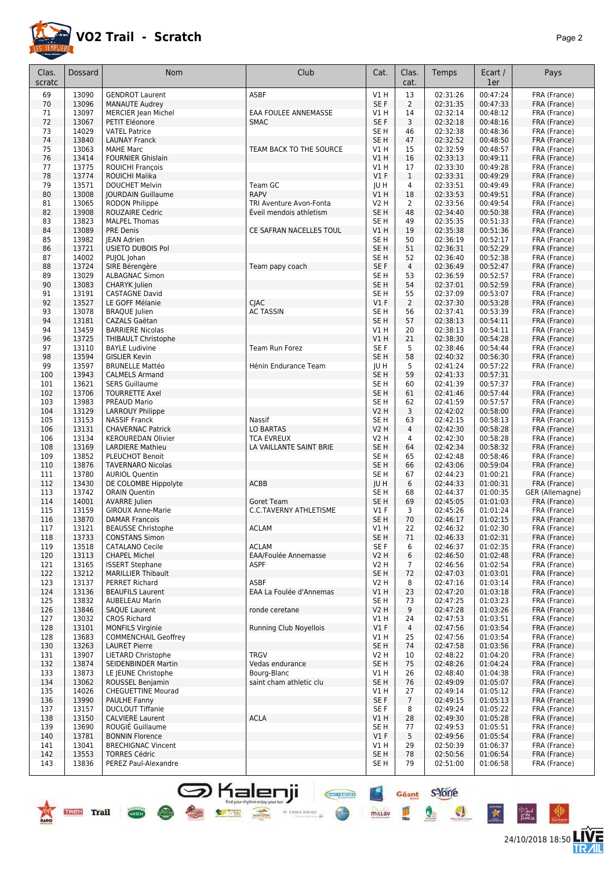

24/10/2018 18:50 **LIVE** 

Géant S-Yorre

 $\bullet$ 

 $\bullet$ 

 $\ddot{\ast}$ 

⊬‴

皿

 $+<sup>x</sup>$ 

mittau

**CHEFFIORE** 

⊕

 $\times$  etoile service

| Clas.<br>scratc | <b>Dossard</b> | <b>Nom</b>                                           | Club                        | Cat.                               | Clas.<br>cat.        | Temps                | Ecart /<br>1er       | Pays                         |
|-----------------|----------------|------------------------------------------------------|-----------------------------|------------------------------------|----------------------|----------------------|----------------------|------------------------------|
|                 |                |                                                      |                             |                                    |                      |                      |                      |                              |
| 69              | 13090          | <b>GENDROT Laurent</b>                               | <b>ASBF</b>                 | VIH                                | 13                   | 02:31:26             | 00:47:24             | FRA (France)                 |
| 70              | 13096          | <b>MANAUTE Audrey</b>                                |                             | SE F                               | $\overline{2}$       | 02:31:35             | 00:47:33             | FRA (France)                 |
| 71              | 13097          | <b>MERCIER Jean Michel</b>                           | EAA FOULEE ANNEMASSE        | V1 H                               | 14                   | 02:32:14             | 00:48:12             | FRA (France)                 |
| 72<br>73        | 13067<br>14029 | PETIT Eléonore                                       | <b>SMAC</b>                 | SE F                               | 3<br>46              | 02:32:18<br>02:32:38 | 00:48:16<br>00:48:36 | FRA (France)                 |
| 74              | 13840          | <b>VATEL Patrice</b><br><b>LAUNAY Franck</b>         |                             | SE <sub>H</sub><br>SE <sub>H</sub> | 47                   | 02:32:52             | 00:48:50             | FRA (France)<br>FRA (France) |
| 75              | 13063          | <b>MAHE Marc</b>                                     | TEAM BACK TO THE SOURCE     | V1 H                               | 15                   | 02:32:59             | 00:48:57             | FRA (France)                 |
| 76              | 13414          | <b>FOURNIER Ghislain</b>                             |                             | V1 H                               | 16                   | 02:33:13             | 00:49:11             | FRA (France)                 |
| 77              | 13775          | <b>ROUICHI François</b>                              |                             | V1 H                               | 17                   | 02:33:30             | 00:49:28             | FRA (France)                 |
| 78              | 13774          | <b>ROUICHI Malika</b>                                |                             | V1F                                | $\mathbf{1}$         | 02:33:31             | 00:49:29             | FRA (France)                 |
| 79              | 13571          | <b>DOUCHET Melvin</b>                                | Team GC                     | JU H                               | 4                    | 02:33:51             | 00:49:49             | FRA (France)                 |
| 80              | 13008          | <b>JOURDAIN Guillaume</b>                            | <b>RAPV</b>                 | V1 H                               | 18                   | 02:33:53             | 00:49:51             | FRA (France)                 |
| 81              | 13065          | RODON Philippe                                       | TRI Aventure Avon-Fonta     | <b>V2 H</b>                        | $\overline{2}$       | 02:33:56             | 00:49:54             | FRA (France)                 |
| 82              | 13908          | <b>ROUZAIRE Cedric</b>                               | Eveil mendois athletism     | SE H                               | 48                   | 02:34:40             | 00:50:38             | FRA (France)                 |
| 83              | 13823          | <b>MALPEL Thomas</b>                                 |                             | SE <sub>H</sub>                    | 49                   | 02:35:35             | 00:51:33             | FRA (France)                 |
| 84              | 13089          | <b>PRE Denis</b>                                     | CE SAFRAN NACELLES TOUL     | V1 H                               | 19                   | 02:35:38             | 00:51:36             | FRA (France)                 |
| 85              | 13982          | <b>IEAN Adrien</b>                                   |                             | SE <sub>H</sub>                    | 50                   | 02:36:19             | 00:52:17             | FRA (France)                 |
| 86              | 13721          | USIETO DUBOIS Pol                                    |                             | SE <sub>H</sub>                    | 51                   | 02:36:31             | 00:52:29             | FRA (France)                 |
| 87              | 14002          | PUJOL Johan                                          |                             | SE <sub>H</sub>                    | 52                   | 02:36:40             | 00:52:38             | FRA (France)                 |
| 88              | 13724          | SIRE Bérengère                                       | Team papy coach             | SE F                               | $\overline{4}$       | 02:36:49             | 00:52:47             | FRA (France)                 |
| 89              | 13029          | ALBAGNAC Simon                                       |                             | SE H                               | 53                   | 02:36:59             | 00:52:57             | FRA (France)                 |
| 90              | 13083          | CHARYK Julien                                        |                             | SE <sub>H</sub>                    | 54                   | 02:37:01             | 00:52:59             | FRA (France)                 |
| 91              | 13191          | <b>CASTAGNE David</b>                                |                             | SE <sub>H</sub>                    | 55                   | 02:37:09             | 00:53:07             | FRA (France)                 |
| 92              | 13527          | LE GOFF Mélanie                                      | <b>CIAC</b>                 | $VI$ F                             | $\overline{2}$       | 02:37:30             | 00:53:28             | FRA (France)                 |
| 93              | 13078          | <b>BRAQUE</b> Julien                                 | <b>AC TASSIN</b>            | SE H                               | 56                   | 02:37:41             | 00:53:39             | FRA (France)                 |
| 94              | 13181          | <b>CAZALS Gaëtan</b>                                 |                             | SE H                               | 57                   | 02:38:13             | 00:54:11             | FRA (France)                 |
| 94              | 13459          | <b>BARRIERE Nicolas</b>                              |                             | V1 H                               | 20                   | 02:38:13             | 00:54:11             | FRA (France)                 |
| 96              | 13725          | THIBAULT Christophe                                  |                             | V1 H                               | 21                   | 02:38:30             | 00:54:28             | FRA (France)                 |
| 97              | 13110          | <b>BAYLE Ludivine</b>                                | Team Run Forez              | SE F                               | 5                    | 02:38:46             | 00:54:44             | FRA (France)                 |
| 98              | 13594          | <b>GISLIER Kevin</b>                                 |                             | SE <sub>H</sub>                    | 58                   | 02:40:32             | 00:56:30             | FRA (France)                 |
| 99              | 13597          | <b>BRUNELLE Mattéo</b>                               | Hénin Endurance Team        | JU H                               | 5                    | 02:41:24             | 00:57:22             | FRA (France)                 |
| 100             | 13943          | <b>CALMELS Armand</b>                                |                             | SE <sub>H</sub>                    | 59                   | 02:41:33             | 00:57:31             |                              |
| 101             | 13621          | <b>SERS Guillaume</b>                                |                             | SE <sub>H</sub>                    | 60                   | 02:41:39             | 00:57:37             | FRA (France)                 |
| 102             | 13706          | <b>TOURRETTE Axel</b>                                |                             | SE <sub>H</sub>                    | 61                   | 02:41:46             | 00:57:44             | FRA (France)                 |
| 103             | 13983          | PRÉAUD Mario                                         |                             | SE <sub>H</sub>                    | 62                   | 02:41:59             | 00:57:57             | FRA (France)                 |
| 104             | 13129          | LARROUY Philippe                                     |                             | <b>V2 H</b>                        | 3                    | 02:42:02             | 00:58:00             | FRA (France)                 |
| 105             | 13153          | <b>NASSIF Franck</b>                                 | Nassif                      | SE H                               | 63                   | 02:42:15             | 00:58:13             | FRA (France)                 |
| 106             | 13131<br>13134 | <b>CHAVERNAC Patrick</b>                             | LO BARTAS                   | V2 H                               | 4                    | 02:42:30<br>02:42:30 | 00:58:28<br>00:58:28 | FRA (France)                 |
| 106             | 13169          | <b>KEROUREDAN Olivier</b><br><b>LARDIERE Mathieu</b> | <b>TCA EVREUX</b>           | V2 H                               | 4<br>64              |                      | 00:58:32             | FRA (France)                 |
| 108<br>109      | 13852          | <b>PLEUCHOT Benoit</b>                               | LA VAILLANTE SAINT BRIE     | SE H<br>SE <sub>H</sub>            | 65                   | 02:42:34<br>02:42:48 | 00:58:46             | FRA (France)<br>FRA (France) |
| 110             | 13876          | <b>TAVERNARO Nicolas</b>                             |                             | SE <sub>H</sub>                    | 66                   | 02:43:06             | 00:59:04             | FRA (France)                 |
| 111             | 13780          | <b>AURIOL Quentin</b>                                |                             | SE <sub>H</sub>                    | 67                   | 02:44:23             | 01:00:21             | FRA (France)                 |
| 112             | 13430          | DE COLOMBE Hippolyte                                 | <b>ACBB</b>                 | JU H                               | 6                    | 02:44:33             | 01:00:31             | FRA (France)                 |
| 113             | 13742          | <b>ORAIN Quentin</b>                                 |                             | SE <sub>H</sub>                    | 68                   | 02:44:37             | 01:00:35             | GER (Allemagne)              |
| 114             | 14001          | <b>AVARRE</b> Julien                                 | Goret Team                  | SE <sub>H</sub>                    | 69                   | 02:45:05             | 01:01:03             | FRA (France)                 |
| 115             | 13159          | <b>GIROUX Anne-Marie</b>                             | C.C.TAVERNY ATHLETISME      | $VI$ F                             | 3                    | 02:45:26             | 01:01:24             | FRA (France)                 |
| 116             | 13870          | <b>DAMAR Francois</b>                                |                             | SE <sub>H</sub>                    | 70                   | 02:46:17             | 01:02:15             | FRA (France)                 |
| 117             | 13121          | <b>BEAUSSE Christophe</b>                            | <b>ACLAM</b>                | V1 H                               | 22                   | 02:46:32             | 01:02:30             | FRA (France)                 |
| 118             | 13733          | <b>CONSTANS Simon</b>                                |                             | SE <sub>H</sub>                    | 71                   | 02:46:33             | 01:02:31             | FRA (France)                 |
| 119             | 13518          | <b>CATALANO Cecile</b>                               | <b>ACLAM</b>                | SE F                               | 6                    | 02:46:37             | 01:02:35             | FRA (France)                 |
| 120             | 13113          | <b>CHAPEL Michel</b>                                 | <b>EAA/Foulée Annemasse</b> | V2 H                               | 6                    | 02:46:50             | 01:02:48             | FRA (France)                 |
| 121             | 13165          | <b>ISSERT Stephane</b>                               | ASPF                        | V2 H                               | 7                    | 02:46:56             | 01:02:54             | FRA (France)                 |
| 122             | 13212          | <b>MARILLIER Thibault</b>                            |                             | SE <sub>H</sub>                    | 72                   | 02:47:03             | 01:03:01             | FRA (France)                 |
| 123             | 13137          | <b>PERRET Richard</b>                                | <b>ASBF</b>                 | V2 H                               | 8                    | 02:47:16             | 01:03:14             | FRA (France)                 |
| 124             | 13136          | <b>BEAUFILS Laurent</b>                              | EAA La Foulée d'Annemas     | V1 H                               | 23                   | 02:47:20             | 01:03:18             | FRA (France)                 |
| 125             | 13832          | <b>AUBELEAU Marin</b>                                |                             | SE H                               | 73                   | 02:47:25             | 01:03:23             | FRA (France)                 |
| 126             | 13846          | <b>SAQUE Laurent</b>                                 | ronde ceretane              | V2 H                               | 9                    | 02:47:28             | 01:03:26             | FRA (France)                 |
| 127             | 13032          | <b>CROS Richard</b>                                  |                             | V1 H                               | 24                   | 02:47:53             | 01:03:51             | FRA (France)                 |
| 128             | 13101          | <b>MONFILS Virginie</b>                              | Running Club Noyellois      | V1F                                | $\overline{4}$       | 02:47:56             | 01:03:54             | FRA (France)                 |
| 128             | 13683          | <b>COMMENCHAIL Geoffrey</b>                          |                             | V1 H                               | 25                   | 02:47:56             | 01:03:54             | FRA (France)                 |
| 130             | 13263          | <b>LAURET Pierre</b>                                 |                             | SE <sub>H</sub>                    | 74                   | 02:47:58             | 01:03:56             | FRA (France)                 |
| 131             | 13907          | <b>LIETARD Christophe</b>                            | <b>TRGV</b>                 | V2 H                               | 10                   | 02:48:22             | 01:04:20             | FRA (France)                 |
| 132             | 13874          | SEIDENBINDER Martin                                  | Vedas endurance             | SE H                               | 75                   | 02:48:26             | 01:04:24             | FRA (France)                 |
| 133             | 13873          | LE JEUNE Christophe                                  | Bourg-Blanc                 | V1H                                | 26                   | 02:48:40             | 01:04:38             | FRA (France)                 |
| 134             | 13062<br>14026 | ROUSSEL Benjamin                                     | saint cham athletic clu     | SE H<br>V1H                        | 76                   | 02:49:09<br>02:49:14 | 01:05:07             | FRA (France)                 |
| 135<br>136      | 13990          | <b>CHEGUETTINE Mourad</b><br>PAULHE Fanny            |                             | SE F                               | 27<br>$\overline{7}$ | 02:49:15             | 01:05:12<br>01:05:13 | FRA (France)                 |
| 137             | 13157          | <b>DUCLOUT Tiffanie</b>                              |                             | SE F                               | 8                    | 02:49:24             | 01:05:22             | FRA (France)<br>FRA (France) |
| 138             | 13150          | <b>CALVIERE Laurent</b>                              | <b>ACLA</b>                 | V1 H                               | 28                   | 02:49:30             | 01:05:28             | FRA (France)                 |
| 139             | 13690          | ROUGIÉ Guillaume                                     |                             | SE H                               | 77                   | 02:49:53             | 01:05:51             | FRA (France)                 |
| 140             | 13781          | <b>BONNIN Florence</b>                               |                             | $VI$ F                             | 5                    | 02:49:56             | 01:05:54             | FRA (France)                 |
| 141             | 13041          | <b>BRECHIGNAC Vincent</b>                            |                             | V1H                                | 29                   | 02:50:39             | 01:06:37             | FRA (France)                 |
| 142             | 13553          | <b>TORRES Cédric</b>                                 |                             | SE H                               | 78                   | 02:50:56             | 01:06:54             | FRA (France)                 |
| 143             | 13836          | PEREZ Paul-Alexandre                                 |                             | SE H                               | 79                   | 02:51:00             | 01:06:58             | FRA (France)                 |
|                 |                |                                                      |                             |                                    |                      |                      |                      |                              |

**S** Kalenji

**TREK** Trail

**COCIETY**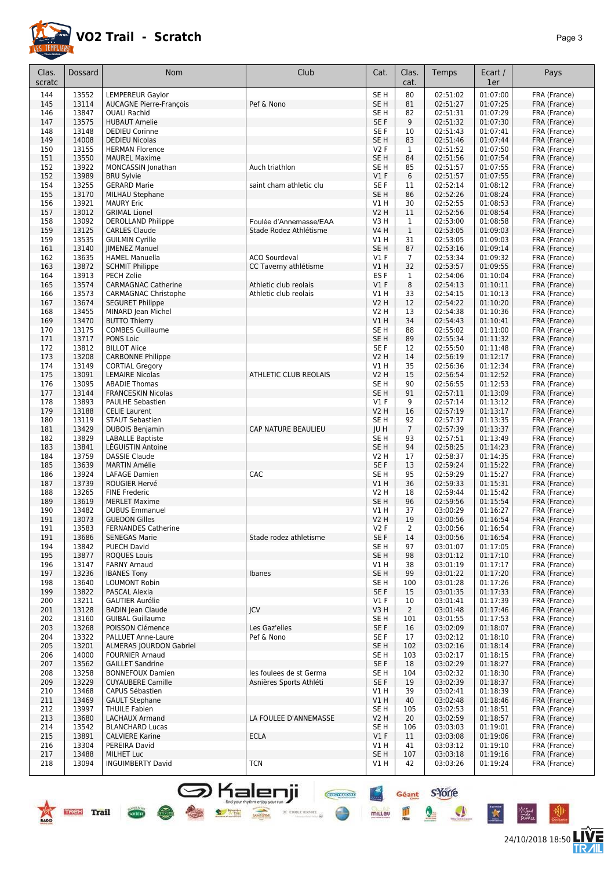

24/10/2018 18:50 **LIVE** 

| Clas.      | <b>Dossard</b> | <b>Nom</b>                                                | Club                                           | Cat.                           | Clas.          | Temps                | Ecart /              | Pays                         |
|------------|----------------|-----------------------------------------------------------|------------------------------------------------|--------------------------------|----------------|----------------------|----------------------|------------------------------|
| scratc     |                |                                                           |                                                |                                | cat.           |                      | 1er                  |                              |
| 144        | 13552          | LEMPEREUR Gaylor                                          |                                                | SE <sub>H</sub>                | 80             | 02:51:02             | 01:07:00             | FRA (France)                 |
| 145<br>146 | 13114<br>13847 | <b>AUCAGNE Pierre-François</b><br><b>OUALI Rachid</b>     | Pef & Nono                                     | SE <sub>H</sub><br>SE H        | 81<br>82       | 02:51:27<br>02:51:31 | 01:07:25<br>01:07:29 | FRA (France)<br>FRA (France) |
| 147        | 13575          | <b>HUBAUT Amelie</b>                                      |                                                | SE F                           | 9              | 02:51:32             | 01:07:30             | FRA (France)                 |
| 148        | 13148          | <b>DEDIEU Corinne</b>                                     |                                                | SE F                           | 10             | 02:51:43             | 01:07:41             | FRA (France)                 |
| 149        | 14008          | <b>DEDIEU Nicolas</b>                                     |                                                | SE <sub>H</sub>                | 83             | 02:51:46             | 01:07:44             | FRA (France)                 |
| 150        | 13155          | <b>HERMAN Florence</b>                                    |                                                | V2F                            | $\mathbf{1}$   | 02:51:52             | 01:07:50             | FRA (France)                 |
| 151        | 13550          | <b>MAUREL Maxime</b>                                      |                                                | SE <sub>H</sub>                | 84             | 02:51:56             | 01:07:54             | FRA (France)                 |
| 152        | 13922          | MONCASSIN Jonathan                                        | Auch triathlon                                 | SE H                           | 85             | 02:51:57             | 01:07:55             | FRA (France)                 |
| 152        | 13989          | <b>BRU Sylvie</b>                                         |                                                | V1F                            | 6              | 02:51:57             | 01:07:55             | FRA (France)                 |
| 154        | 13255          | <b>GERARD Marie</b>                                       | saint cham athletic clu                        | SE F                           | 11             | 02:52:14             | 01:08:12             | FRA (France)                 |
| 155        | 13170<br>13921 | MILHAU Stephane<br><b>MAURY Eric</b>                      |                                                | SE <sub>H</sub><br>V1 H        | 86<br>30       | 02:52:26<br>02:52:55 | 01:08:24<br>01:08:53 | FRA (France)                 |
| 156<br>157 | 13012          | <b>GRIMAL Lionel</b>                                      |                                                | V2 H                           | 11             | 02:52:56             | 01:08:54             | FRA (France)<br>FRA (France) |
| 158        | 13092          | <b>DEROLLAND Philippe</b>                                 | Foulée d'Annemasse/EAA                         | V3H                            | $\mathbf{1}$   | 02:53:00             | 01:08:58             | FRA (France)                 |
| 159        | 13125          | <b>CARLES Claude</b>                                      | Stade Rodez Athlétisme                         | V4 H                           | $1\,$          | 02:53:05             | 01:09:03             | FRA (France)                 |
| 159        | 13535          | <b>GUILMIN Cyrille</b>                                    |                                                | V1 H                           | 31             | 02:53:05             | 01:09:03             | FRA (France)                 |
| 161        | 13140          | <b>JIMENEZ Manuel</b>                                     |                                                | SE H                           | 87             | 02:53:16             | 01:09:14             | FRA (France)                 |
| 162        | 13635          | <b>HAMEL Manuella</b>                                     | <b>ACO Sourdeval</b>                           | $VI$ F                         | $\overline{7}$ | 02:53:34             | 01:09:32             | FRA (France)                 |
| 163        | 13872          | <b>SCHMIT Philippe</b>                                    | CC Taverny athlétisme                          | V1 H                           | 32             | 02:53:57             | 01:09:55             | FRA (France)                 |
| 164        | 13913          | PECH Zelie                                                |                                                | ES <sub>F</sub>                | 1              | 02:54:06             | 01:10:04             | FRA (France)                 |
| 165<br>166 | 13574<br>13573 | <b>CARMAGNAC Catherine</b><br><b>CARMAGNAC Christophe</b> | Athletic club reolais<br>Athletic club reolais | V1F<br>V1 H                    | 8<br>33        | 02:54:13<br>02:54:15 | 01:10:11<br>01:10:13 | FRA (France)<br>FRA (France) |
| 167        | 13674          | <b>SEGURET Philippe</b>                                   |                                                | <b>V2 H</b>                    | 12             | 02:54:22             | 01:10:20             | FRA (France)                 |
| 168        | 13455          | MINARD Jean Michel                                        |                                                | V2 H                           | 13             | 02:54:38             | 01:10:36             | FRA (France)                 |
| 169        | 13470          | <b>BUTTO Thierry</b>                                      |                                                | VIH                            | 34             | 02:54:43             | 01:10:41             | FRA (France)                 |
| 170        | 13175          | <b>COMBES Guillaume</b>                                   |                                                | SE H                           | 88             | 02:55:02             | 01:11:00             | FRA (France)                 |
| 171        | 13717          | PONS Loic                                                 |                                                | SE H                           | 89             | 02:55:34             | 01:11:32             | FRA (France)                 |
| 172        | 13812          | <b>BILLOT Alice</b>                                       |                                                | SE F                           | 12             | 02:55:50             | 01:11:48             | FRA (France)                 |
| 173        | 13208          | <b>CARBONNE Philippe</b>                                  |                                                | <b>V2 H</b>                    | 14             | 02:56:19             | 01:12:17             | FRA (France)                 |
| 174        | 13149          | <b>CORTIAL Gregory</b>                                    |                                                | V1 H                           | 35             | 02:56:36             | 01:12:34             | FRA (France)                 |
| 175<br>176 | 13091<br>13095 | <b>LEMAIRE Nicolas</b><br><b>ABADIE Thomas</b>            | ATHLETIC CLUB REOLAIS                          | <b>V2 H</b><br>SE <sub>H</sub> | 15<br>90       | 02:56:54<br>02:56:55 | 01:12:52<br>01:12:53 | FRA (France)<br>FRA (France) |
| 177        | 13144          | <b>FRANCESKIN Nicolas</b>                                 |                                                | SE <sub>H</sub>                | 91             | 02:57:11             | 01:13:09             | FRA (France)                 |
| 178        | 13893          | <b>PAULHE Sebastien</b>                                   |                                                | $VI$ F                         | 9              | 02:57:14             | 01:13:12             | FRA (France)                 |
| 179        | 13188          | <b>CELIE Laurent</b>                                      |                                                | V <sub>2</sub> H               | 16             | 02:57:19             | 01:13:17             | FRA (France)                 |
| 180        | 13119          | STAUT Sebastien                                           |                                                | SE H                           | 92             | 02:57:37             | 01:13:35             | FRA (France)                 |
| 181        | 13429          | <b>DUBOIS Benjamin</b>                                    | CAP NATURE BEAULIEU                            | JU H                           | $\overline{7}$ | 02:57:39             | 01:13:37             | FRA (France)                 |
| 182        | 13829          | <b>LABALLE Baptiste</b>                                   |                                                | SE <sub>H</sub>                | 93             | 02:57:51             | 01:13:49             | FRA (France)                 |
| 183        | 13841          | LEGUISTIN Antoine                                         |                                                | SE <sub>H</sub>                | 94             | 02:58:25             | 01:14:23             | FRA (France)                 |
| 184<br>185 | 13759<br>13639 | <b>DASSIE Claude</b><br><b>MARTIN Amélie</b>              |                                                | V2 H<br>SE F                   | 17<br>13       | 02:58:37<br>02:59:24 | 01:14:35<br>01:15:22 | FRA (France)                 |
| 186        | 13924          | LAFAGE Damien                                             | CAC                                            | SE H                           | 95             | 02:59:29             | 01:15:27             | FRA (France)<br>FRA (France) |
| 187        | 13739          | ROUGIER Hervé                                             |                                                | V1 H                           | 36             | 02:59:33             | 01:15:31             | FRA (France)                 |
| 188        | 13265          | <b>FINE Frederic</b>                                      |                                                | <b>V2 H</b>                    | 18             | 02:59:44             | 01:15:42             | FRA (France)                 |
| 189        | 13619          | <b>MERLET Maxime</b>                                      |                                                | SE <sub>H</sub>                | 96             | 02:59:56             | 01:15:54             | FRA (France)                 |
| 190        | 13482          | <b>DUBUS Emmanuel</b>                                     |                                                | V1 H                           | 37             | 03:00:29             | 01:16:27             | FRA (France)                 |
| 191        | 13073          | <b>GUEDON Gilles</b>                                      |                                                | V2 H                           | 19             | 03:00:56             | 01:16:54             | FRA (France)                 |
| 191        | 13583          | <b>FERNANDES Catherine</b>                                | Stade rodez athletisme                         | V2F                            | 2              | 03:00:56             | 01:16:54             | FRA (France)                 |
| 191<br>194 | 13686<br>13842 | <b>SENEGAS Marie</b><br><b>PUECH David</b>                |                                                | SE F<br>SE <sub>H</sub>        | 14<br>97       | 03:00:56<br>03:01:07 | 01:16:54<br>01:17:05 | FRA (France)<br>FRA (France) |
| 195        | 13877          | <b>ROQUES Louis</b>                                       |                                                | SE H                           | 98             | 03:01:12             | 01:17:10             | FRA (France)                 |
| 196        | 13147          | <b>FARNY Arnaud</b>                                       |                                                | V1 H                           | 38             | 03:01:19             | 01:17:17             | FRA (France)                 |
| 197        | 13236          | <b>IBANES Tony</b>                                        | Ibanes                                         | SE H                           | 99             | 03:01:22             | 01:17:20             | FRA (France)                 |
| 198        | 13640          | <b>LOUMONT Robin</b>                                      |                                                | SE H                           | 100            | 03:01:28             | 01:17:26             | FRA (France)                 |
| 199        | 13822          | PASCAL Alexia                                             |                                                | SE F                           | 15             | 03:01:35             | 01:17:33             | FRA (France)                 |
| 200        | 13211          | <b>GAUTIER Aurélie</b>                                    |                                                | $VI$ F                         | 10             | 03:01:41             | 01:17:39             | FRA (France)                 |
| 201        | 13128          | <b>BADIN Jean Claude</b>                                  | <b>JCV</b>                                     | V3H                            | $\overline{2}$ | 03:01:48             | 01:17:46             | FRA (France)                 |
| 202<br>203 | 13160<br>13268 | <b>GUIBAL Guillaume</b><br>POISSON Clémence               | Les Gaz'elles                                  | SE <sub>H</sub><br>SE F        | 101<br>16      | 03:01:55<br>03:02:09 | 01:17:53<br>01:18:07 | FRA (France)<br>FRA (France) |
| 204        | 13322          | PALLUET Anne-Laure                                        | Pef & Nono                                     | SE F                           | 17             | 03:02:12             | 01:18:10             | FRA (France)                 |
| 205        | 13201          | <b>ALMERAS JOURDON Gabriel</b>                            |                                                | SE H                           | 102            | 03:02:16             | 01:18:14             | FRA (France)                 |
| 206        | 14000          | <b>FOURNIER Arnaud</b>                                    |                                                | SE <sub>H</sub>                | 103            | 03:02:17             | 01:18:15             | FRA (France)                 |
| 207        | 13562          | <b>GAILLET Sandrine</b>                                   |                                                | SE F                           | 18             | 03:02:29             | 01:18:27             | FRA (France)                 |
| 208        | 13258          | <b>BONNEFOUX Damien</b>                                   | les foulees de st Germa                        | SE H                           | 104            | 03:02:32             | 01:18:30             | FRA (France)                 |
| 209        | 13229          | <b>CUYAUBERE Camille</b>                                  | Asnières Sports Athléti                        | SE F                           | 19             | 03:02:39             | 01:18:37             | FRA (France)                 |
| 210        | 13468          | CAPUS Sébastien                                           |                                                | V1 H                           | 39             | 03:02:41             | 01:18:39             | FRA (France)                 |
| 211<br>212 | 13469<br>13997 | <b>GAULT Stephane</b><br><b>THUILE Fabien</b>             |                                                | V1H<br>SE <sub>H</sub>         | 40<br>105      | 03:02:48<br>03:02:53 | 01:18:46<br>01:18:51 | FRA (France)<br>FRA (France) |
| 213        | 13680          | LACHAUX Armand                                            | LA FOULEE D'ANNEMASSE                          | V2 H                           | 20             | 03:02:59             | 01:18:57             | FRA (France)                 |
| 214        | 13542          | <b>BLANCHARD Lucas</b>                                    |                                                | SE <sub>H</sub>                | 106            | 03:03:03             | 01:19:01             | FRA (France)                 |
| 215        | 13891          | <b>CALVIERE Karine</b>                                    | <b>ECLA</b>                                    | $VI$ F                         | 11             | 03:03:08             | 01:19:06             | FRA (France)                 |
| 216        | 13304          | PEREIRA David                                             |                                                | V1 H                           | 41             | 03:03:12             | 01:19:10             | FRA (France)                 |
| 217        | 13488          | MILHET Luc                                                |                                                | SE <sub>H</sub>                | 107            | 03:03:18             | 01:19:16             | FRA (France)                 |
| 218        | 13094          | <b>INGUIMBERTY David</b>                                  | <b>TCN</b>                                     | V1 H                           | 42             | 03:03:26             | 01:19:24             | FRA (France)                 |

**S** Kalenji

 $\times$  etoile service

**But your mythm enjoy your** 

 $\overline{\text{ocun}}$ 

Géant S'Yorre

 $\bullet$ 

 $\bullet$ 

 $\ddot{\ast}$ 

°₩

皿

mittau

⊕

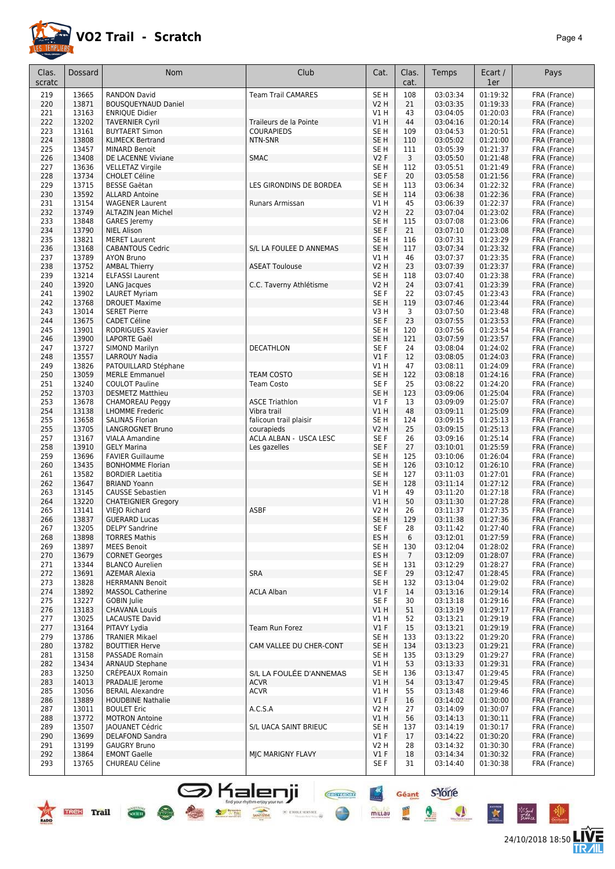

24/10/2018 18:50 **LIVE** 

Géant S-Yorre

 $\bullet$ 

 $\bullet$ 

 $\mathbf{\hat{z}}$ 

Pű.

皿

 $\frac{4}{\pi}$ 

mittau

**CHAPTER** 

 $\bigoplus$ 

| Clas.  | Dossard | <b>Nom</b>                 | Club                      | Cat.             | Clas.          | Temps    | Ecart /  | Pays         |
|--------|---------|----------------------------|---------------------------|------------------|----------------|----------|----------|--------------|
| scratc |         |                            |                           |                  | cat.           |          | 1er      |              |
| 219    | 13665   | <b>RANDON David</b>        | <b>Team Trail CAMARES</b> | SE <sub>H</sub>  | 108            | 03:03:34 | 01:19:32 | FRA (France) |
| 220    | 13871   | <b>BOUSQUEYNAUD Daniel</b> |                           | <b>V2 H</b>      | 21             | 03:03:35 | 01:19:33 | FRA (France) |
| 221    | 13163   | <b>ENRIQUE Didier</b>      |                           | V1 H             | 43             | 03:04:05 | 01:20:03 | FRA (France) |
| 222    | 13202   | <b>TAVERNIER Cyril</b>     | Traileurs de la Pointe    | V1H              | 44             | 03:04:16 | 01:20:14 | FRA (France) |
| 223    | 13161   | <b>BUYTAERT Simon</b>      | <b>COURAPIEDS</b>         | SE <sub>H</sub>  | 109            | 03:04:53 | 01:20:51 | FRA (France) |
| 224    | 13808   | <b>KLIMECK Bertrand</b>    | NTN-SNR                   | SE <sub>H</sub>  | 110            | 03:05:02 | 01:21:00 | FRA (France) |
| 225    | 13457   | <b>MINARD Benoit</b>       |                           | SE <sub>H</sub>  | 111            | 03:05:39 | 01:21:37 | FRA (France) |
| 226    | 13408   | DE LACENNE Viviane         | <b>SMAC</b>               | V2F              | 3              | 03:05:50 | 01:21:48 | FRA (France) |
| 227    | 13636   | <b>VELLETAZ Virgile</b>    |                           | SE <sub>H</sub>  | 112            | 03:05:51 | 01:21:49 | FRA (France) |
| 228    | 13734   | <b>CHOLET Céline</b>       |                           | SE F             | 20             | 03:05:58 | 01:21:56 | FRA (France) |
| 229    | 13715   | <b>BESSE Gaëtan</b>        | LES GIRONDINS DE BORDEA   | SE <sub>H</sub>  | 113            | 03:06:34 | 01:22:32 | FRA (France) |
| 230    | 13592   | <b>ALLARD Antoine</b>      |                           | SE H             | 114            | 03:06:38 | 01:22:36 | FRA (France) |
| 231    | 13154   | <b>WAGENER Laurent</b>     | Runars Armissan           | V1 H             | 45             | 03:06:39 | 01:22:37 | FRA (France) |
| 232    | 13749   | ALTAZIN Jean Michel        |                           | <b>V2 H</b>      | 22             | 03:07:04 | 01:23:02 | FRA (France) |
| 233    | 13848   | <b>GARES</b> Jeremy        |                           | SE <sub>H</sub>  | 115            | 03:07:08 | 01:23:06 | FRA (France) |
| 234    | 13790   | <b>NIEL Alison</b>         |                           | SE F             | 21             | 03:07:10 | 01:23:08 | FRA (France) |
| 235    | 13821   | <b>MERET Laurent</b>       |                           | SE <sub>H</sub>  | 116            | 03:07:31 | 01:23:29 | FRA (France) |
| 236    | 13168   | <b>CABANTOUS Cedric</b>    | S/L LA FOULEE D ANNEMAS   | SE <sub>H</sub>  | 117            | 03:07:34 | 01:23:32 | FRA (France) |
| 237    | 13789   | <b>AYON Bruno</b>          |                           | V1H              | 46             | 03:07:37 | 01:23:35 | FRA (France) |
| 238    | 13752   | <b>AMBAL Thierry</b>       | <b>ASEAT Toulouse</b>     | <b>V2 H</b>      | 23             | 03:07:39 | 01:23:37 | FRA (France) |
| 239    | 13214   | <b>ELFASSI Laurent</b>     |                           | SE <sub>H</sub>  | 118            | 03:07:40 | 01:23:38 | FRA (France) |
| 240    | 13920   |                            |                           | <b>V2 H</b>      | 24             | 03:07:41 | 01:23:39 | FRA (France) |
|        |         | LANG Jacques               | C.C. Taverny Athlétisme   |                  |                |          |          |              |
| 241    | 13902   | <b>LAURET Myriam</b>       |                           | SE F             | 22             | 03:07:45 | 01:23:43 | FRA (France) |
| 242    | 13768   | <b>DROUET Maxime</b>       |                           | SE <sub>H</sub>  | 119            | 03:07:46 | 01:23:44 | FRA (France) |
| 243    | 13014   | <b>SERET Pierre</b>        |                           | V3H              | 3              | 03:07:50 | 01:23:48 | FRA (France) |
| 244    | 13675   | <b>CADET Céline</b>        |                           | SE F             | 23             | 03:07:55 | 01:23:53 | FRA (France) |
| 245    | 13901   | <b>RODRIGUES Xavier</b>    |                           | SE <sub>H</sub>  | 120            | 03:07:56 | 01:23:54 | FRA (France) |
| 246    | 13900   | LAPORTE Gaël               |                           | SE <sub>H</sub>  | 121            | 03:07:59 | 01:23:57 | FRA (France) |
| 247    | 13727   | SIMOND Marilyn             | DECATHLON                 | SE F             | 24             | 03:08:04 | 01:24:02 | FRA (France) |
| 248    | 13557   | <b>LARROUY Nadia</b>       |                           | $VI$ F           | 12             | 03:08:05 | 01:24:03 | FRA (France) |
| 249    | 13826   | PATOUILLARD Stéphane       |                           | V1 H             | 47             | 03:08:11 | 01:24:09 | FRA (France) |
| 250    | 13059   | <b>MERLE Emmanuel</b>      | <b>TEAM COSTO</b>         | SE <sub>H</sub>  | 122            | 03:08:18 | 01:24:16 | FRA (France) |
| 251    | 13240   | <b>COULOT Pauline</b>      | <b>Team Costo</b>         | SE F             | 25             | 03:08:22 | 01:24:20 | FRA (France) |
| 252    | 13703   | <b>DESMETZ Matthieu</b>    |                           | SE <sub>H</sub>  | 123            | 03:09:06 | 01:25:04 | FRA (France) |
| 253    | 13678   | CHAMOREAU Peggy            | <b>ASCE Triathlon</b>     | $VI$ F           | 13             | 03:09:09 | 01:25:07 | FRA (France) |
| 254    | 13138   | <b>LHOMME Frederic</b>     | Vibra trail               | VIH              | 48             | 03:09:11 | 01:25:09 | FRA (France) |
| 255    | 13658   | <b>SALINAS Florian</b>     | falicoun trail plaisir    | SE <sub>H</sub>  | 124            | 03:09:15 | 01:25:13 | FRA (France) |
| 255    | 13705   | LANGROGNET Bruno           | courapieds                | <b>V2 H</b>      | 25             | 03:09:15 | 01:25:13 | FRA (France) |
| 257    | 13167   | <b>VIALA Amandine</b>      | ACLA ALBAN - USCA LESC    | SE F             | 26             | 03:09:16 | 01:25:14 | FRA (France) |
| 258    | 13910   | <b>GELY Marina</b>         |                           | SE F             | 27             | 03:10:01 | 01:25:59 | FRA (France) |
| 259    | 13696   | <b>FAVIER Guillaume</b>    | Les gazelles              | SE <sub>H</sub>  | 125            |          | 01:26:04 |              |
|        |         |                            |                           |                  |                | 03:10:06 |          | FRA (France) |
| 260    | 13435   | <b>BONHOMME Florian</b>    |                           | SE <sub>H</sub>  | 126            | 03:10:12 | 01:26:10 | FRA (France) |
| 261    | 13582   | <b>BORDIER Laetitia</b>    |                           | SE <sub>H</sub>  | 127            | 03:11:03 | 01:27:01 | FRA (France) |
| 262    | 13647   | <b>BRIAND Yoann</b>        |                           | SE <sub>H</sub>  | 128            | 03:11:14 | 01:27:12 | FRA (France) |
| 263    | 13145   | <b>CAUSSE Sebastien</b>    |                           | $VI$ H           | 49             | 03:11:20 | 01:27:18 | FRA (France) |
| 264    | 13220   | <b>CHATEIGNIER Gregory</b> |                           | VIH              | 50             | 03:11:30 | 01:27:28 | FRA (France) |
| 265    | 13141   | VIEJO Richard              | <b>ASBF</b>               | <b>V2 H</b>      | 26             | 03:11:37 | 01:27:35 | FRA (France) |
| 266    | 13837   | <b>GUERARD Lucas</b>       |                           | SE <sub>H</sub>  | 129            | 03:11:38 | 01:27:36 | FRA (France) |
| 267    | 13205   | <b>DELPY Sandrine</b>      |                           | SE F             | 28             | 03:11:42 | 01:27:40 | FRA (France) |
| 268    | 13898   | <b>TORRES Mathis</b>       |                           | ES H             | 6              | 03:12:01 | 01:27:59 | FRA (France) |
| 269    | 13897   | <b>MEES Benoit</b>         |                           | SE <sub>H</sub>  | 130            | 03:12:04 | 01:28:02 | FRA (France) |
| 270    | 13679   | <b>CORNET Georges</b>      |                           | ES H             | $\overline{7}$ | 03:12:09 | 01:28:07 | FRA (France) |
| 271    | 13344   | <b>BLANCO Aurelien</b>     |                           | SE <sub>H</sub>  | 131            | 03:12:29 | 01:28:27 | FRA (France) |
| 272    | 13691   | <b>AZEMAR Alexia</b>       | <b>SRA</b>                | SE F             | 29             | 03:12:47 | 01:28:45 | FRA (France) |
| 273    | 13828   | <b>HERRMANN Benoit</b>     |                           | SE H             | 132            | 03:13:04 | 01:29:02 | FRA (France) |
| 274    | 13892   | <b>MASSOL Catherine</b>    | <b>ACLA Alban</b>         | $VI$ F           | 14             | 03:13:16 | 01:29:14 | FRA (France) |
| 275    | 13227   | <b>GOBIN Julie</b>         |                           | SE F             | 30             | 03:13:18 | 01:29:16 | FRA (France) |
| 276    | 13183   | <b>CHAVANA Louis</b>       |                           | VIH              | 51             | 03:13:19 | 01:29:17 | FRA (France) |
| 277    | 13025   | <b>LACAUSTE David</b>      |                           | V1 H             | 52             | 03:13:21 | 01:29:19 | FRA (France) |
| 277    | 13164   | PITAVY Lydia               | Team Run Forez            | $VI$ F           | 15             | 03:13:21 | 01:29:19 | FRA (France) |
| 279    | 13786   | <b>TRANIER Mikael</b>      |                           | SE H             | 133            | 03:13:22 | 01:29:20 | FRA (France) |
| 280    | 13782   | <b>BOUTTIER Herve</b>      | CAM VALLEE DU CHER-CONT   | SE <sub>H</sub>  | 134            | 03:13:23 | 01:29:21 | FRA (France) |
| 281    | 13158   | PASSADE Romain             |                           | SE <sub>H</sub>  | 135            | 03:13:29 | 01:29:27 | FRA (France) |
| 282    | 13434   | <b>ARNAUD Stephane</b>     |                           | V1H              | 53             | 03:13:33 | 01:29:31 | FRA (France) |
|        | 13250   | CRÉPEAUX Romain            | S/L LA FOULÉE D'ANNEMAS   | SE <sub>H</sub>  | 136            | 03:13:47 | 01:29:45 |              |
| 283    |         |                            |                           |                  |                |          |          | FRA (France) |
| 283    | 14013   | PRADALIE Jerome            | <b>ACVR</b>               | V1H              | 54             | 03:13:47 | 01:29:45 | FRA (France) |
| 285    | 13056   | <b>BERAIL Alexandre</b>    | <b>ACVR</b>               | V1 H             | 55             | 03:13:48 | 01:29:46 | FRA (France) |
| 286    | 13889   | <b>HOUDBINE Nathalie</b>   |                           | $VI$ F           | 16             | 03:14:02 | 01:30:00 | FRA (France) |
| 287    | 13011   | <b>BOULET Eric</b>         | A.C.S.A                   | V2 H             | 27             | 03:14:09 | 01:30:07 | FRA (France) |
| 288    | 13772   | <b>MOTRON Antoine</b>      |                           | V1H              | 56             | 03:14:13 | 01:30:11 | FRA (France) |
| 289    | 13507   | <b>JAOUANET Cédric</b>     | S/L UACA SAINT BRIEUC     | SE H             | 137            | 03:14:19 | 01:30:17 | FRA (France) |
| 290    | 13699   | <b>DELAFOND Sandra</b>     |                           | $VI$ F           | 17             | 03:14:22 | 01:30:20 | FRA (France) |
| 291    | 13199   | <b>GAUGRY Bruno</b>        |                           | V <sub>2</sub> H | 28             | 03:14:32 | 01:30:30 | FRA (France) |
| 292    | 13864   | <b>EMONT Gaelle</b>        | MJC MARIGNY FLAVY         | $VI$ F           | 18             | 03:14:34 | 01:30:32 | FRA (France) |
| 293    | 13765   | CHUREAU Céline             |                           | SE F             | 31             | 03:14:40 | 01:30:38 | FRA (France) |
|        |         |                            |                           |                  |                |          |          |              |

S Kalenji



**Cocura**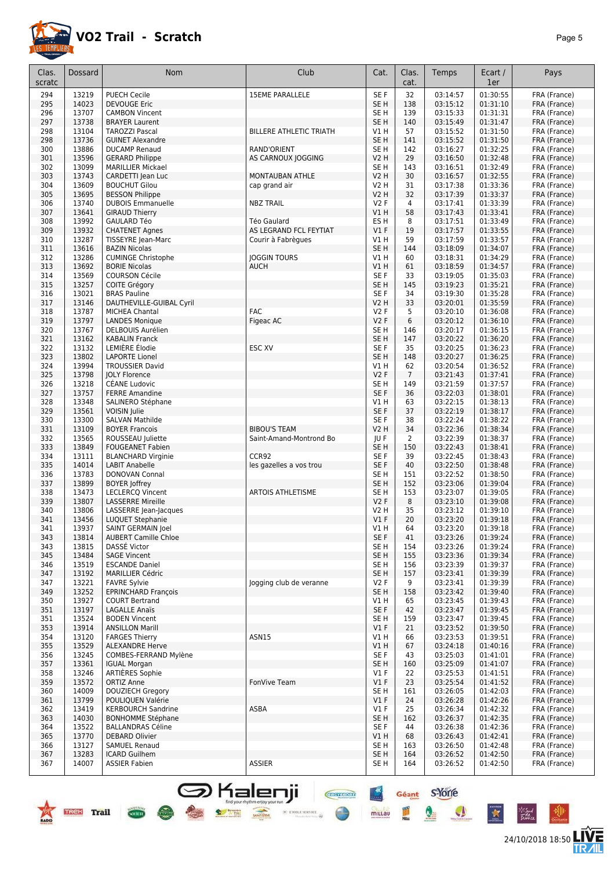

24/10/2018 18:50 **LIVE** 

Géant S'Yorre

 $\bullet$ 

 $\bullet$ 

K

°∕″

皿

mittau

**CHEFFICING** 

●

| Clas.      | <b>Dossard</b> | Nom                                                   | Club                           | Cat.                               | Clas.          | Temps                | Ecart /              | Pays                         |
|------------|----------------|-------------------------------------------------------|--------------------------------|------------------------------------|----------------|----------------------|----------------------|------------------------------|
| scratc     |                |                                                       |                                |                                    | cat.           |                      | 1er                  |                              |
| 294        | 13219          | <b>PUECH Cecile</b>                                   | <b>15EME PARALLELE</b>         | SE F                               | 32             | 03:14:57             | 01:30:55             | FRA (France)                 |
| 295        | 14023          | <b>DEVOUGE Eric</b>                                   |                                | SE <sub>H</sub>                    | 138            | 03:15:12             | 01:31:10             | FRA (France)                 |
| 296        | 13707          | <b>CAMBON Vincent</b>                                 |                                | SE H                               | 139            | 03:15:33             | 01:31:31             | FRA (France)                 |
| 297        | 13738          | <b>BRAYER Laurent</b>                                 |                                | SE <sub>H</sub>                    | 140            | 03:15:49             | 01:31:47             | FRA (France)                 |
| 298<br>298 | 13104<br>13736 | <b>TAROZZI Pascal</b><br><b>GUINET Alexandre</b>      | <b>BILLERE ATHLETIC TRIATH</b> | V1 H<br>SE <sub>H</sub>            | 57<br>141      | 03:15:52<br>03:15:52 | 01:31:50<br>01:31:50 | FRA (France)<br>FRA (France) |
| 300        | 13886          | <b>DUCAMP Renaud</b>                                  | RAND'ORIENT                    | SE H                               | 142            | 03:16:27             | 01:32:25             | FRA (France)                 |
| 301        | 13596          | <b>GERARD Philippe</b>                                | AS CARNOUX JOGGING             | <b>V2 H</b>                        | 29             | 03:16:50             | 01:32:48             | FRA (France)                 |
| 302        | 13099          | <b>MARILLIER Mickael</b>                              |                                | SE <sub>H</sub>                    | 143            | 03:16:51             | 01:32:49             | FRA (France)                 |
| 303        | 13743          | CARDETTI Jean Luc                                     | MONTAUBAN ATHLE                | <b>V2 H</b>                        | 30             | 03:16:57             | 01:32:55             | FRA (France)                 |
| 304        | 13609          | <b>BOUCHUT Gilou</b>                                  | cap grand air                  | <b>V2 H</b>                        | 31             | 03:17:38             | 01:33:36             | FRA (France)                 |
| 305        | 13695          | <b>BESSON Philippe</b>                                |                                | V2 H                               | 32             | 03:17:39             | 01:33:37             | FRA (France)                 |
| 306        | 13740          | <b>DUBOIS Emmanuelle</b>                              | <b>NBZ TRAIL</b>               | V2F                                | 4              | 03:17:41             | 01:33:39             | FRA (France)                 |
| 307<br>308 | 13641<br>13992 | <b>GIRAUD Thierry</b>                                 | Téo Gaulard                    | V1 H                               | 58             | 03:17:43             | 01:33:41             | FRA (France)                 |
| 309        | 13932          | <b>GAULARD Téo</b><br><b>CHATENET Agnes</b>           | AS LEGRAND FCL FEYTIAT         | ES H<br>$VI$ F                     | 8<br>19        | 03:17:51<br>03:17:57 | 01:33:49<br>01:33:55 | FRA (France)<br>FRA (France) |
| 310        | 13287          | TISSEYRE Jean-Marc                                    | Courir à Fabrègues             | V1 H                               | 59             | 03:17:59             | 01:33:57             | FRA (France)                 |
| 311        | 13616          | <b>BAZIN Nicolas</b>                                  |                                | SE <sub>H</sub>                    | 144            | 03:18:09             | 01:34:07             | FRA (France)                 |
| 312        | 13286          | <b>CUMINGE Christophe</b>                             | <b>JOGGIN TOURS</b>            | V1 H                               | 60             | 03:18:31             | 01:34:29             | FRA (France)                 |
| 313        | 13692          | <b>BORIE Nicolas</b>                                  | <b>AUCH</b>                    | V1H                                | 61             | 03:18:59             | 01:34:57             | FRA (France)                 |
| 314        | 13569          | <b>COURSON Cécile</b>                                 |                                | SE F                               | 33             | 03:19:05             | 01:35:03             | FRA (France)                 |
| 315        | 13257          | COITE Grégory                                         |                                | SE <sub>H</sub>                    | 145            | 03:19:23             | 01:35:21             | FRA (France)                 |
| 316        | 13021          | <b>BRAS Pauline</b>                                   |                                | SE F                               | 34             | 03:19:30             | 01:35:28             | FRA (France)                 |
| 317        | 13146<br>13787 | DAUTHEVILLE-GUIBAL Cyril                              | <b>FAC</b>                     | V2 H                               | 33<br>5        | 03:20:01             | 01:35:59             | FRA (France)                 |
| 318<br>319 | 13797          | <b>MICHEA Chantal</b><br><b>LANDES Monique</b>        | Figeac AC                      | V2F<br>V2F                         | 6              | 03:20:10<br>03:20:12 | 01:36:08<br>01:36:10 | FRA (France)<br>FRA (France) |
| 320        | 13767          | DELBOUIS Aurélien                                     |                                | SE H                               | 146            | 03:20:17             | 01:36:15             | FRA (France)                 |
| 321        | 13162          | <b>KABALIN Franck</b>                                 |                                | SE <sub>H</sub>                    | 147            | 03:20:22             | 01:36:20             | FRA (France)                 |
| 322        | 13132          | LEMIÈRE Élodie                                        | ESC XV                         | SE F                               | 35             | 03:20:25             | 01:36:23             | FRA (France)                 |
| 323        | 13802          | <b>LAPORTE Lionel</b>                                 |                                | SE <sub>H</sub>                    | 148            | 03:20:27             | 01:36:25             | FRA (France)                 |
| 324        | 13994          | <b>TROUSSIER David</b>                                |                                | V1 H                               | 62             | 03:20:54             | 01:36:52             | FRA (France)                 |
| 325        | 13798          | <b>JOLY Florence</b>                                  |                                | V2F                                | $\overline{7}$ | 03:21:43             | 01:37:41             | FRA (France)                 |
| 326        | 13218          | CÉANE Ludovic                                         |                                | SE H                               | 149            | 03:21:59             | 01:37:57             | FRA (France)                 |
| 327<br>328 | 13757<br>13348 | <b>FERRE Amandine</b><br>SALINERO Stéphane            |                                | SE F<br>V1 H                       | 36<br>63       | 03:22:03<br>03:22:15 | 01:38:01<br>01:38:13 | FRA (France)<br>FRA (France) |
| 329        | 13561          | VOISIN Julie                                          |                                | SE F                               | 37             | 03:22:19             | 01:38:17             | FRA (France)                 |
| 330        | 13300          | <b>SALVAN Mathilde</b>                                |                                | SE F                               | 38             | 03:22:24             | 01:38:22             | FRA (France)                 |
| 331        | 13109          | <b>BOYER Francois</b>                                 | <b>BIBOU'S TEAM</b>            | V2 H                               | 34             | 03:22:36             | 01:38:34             | FRA (France)                 |
| 332        | 13565          | ROUSSEAU Juliette                                     | Saint-Amand-Montrond Bo        | JU F                               | 2              | 03:22:39             | 01:38:37             | FRA (France)                 |
| 333        | 13849          | <b>FOUGEANET Fabien</b>                               |                                | SE <sub>H</sub>                    | 150            | 03:22:43             | 01:38:41             | FRA (France)                 |
| 334        | 13111          | <b>BLANCHARD Virginie</b>                             | CCR92                          | SE F                               | 39             | 03:22:45             | 01:38:43             | FRA (France)                 |
| 335<br>336 | 14014<br>13783 | <b>LABIT Anabelle</b>                                 | les gazelles a vos trou        | SE F<br>SE <sub>H</sub>            | 40             | 03:22:50<br>03:22:52 | 01:38:48<br>01:38:50 | FRA (France)                 |
| 337        | 13899          | DONOVAN Connal<br><b>BOYER Joffrey</b>                |                                | SE <sub>H</sub>                    | 151<br>152     | 03:23:06             | 01:39:04             | FRA (France)<br>FRA (France) |
| 338        | 13473          | <b>LECLERCQ Vincent</b>                               | ARTOIS ATHLETISME              | SE H                               | 153            | 03:23:07             | 01:39:05             | FRA (France)                 |
| 339        | 13807          | <b>LASSERRE Mireille</b>                              |                                | V2F                                | 8              | 03:23:10             | 01:39:08             | FRA (France)                 |
| 340        | 13806          | LASSERRE Jean-Jacques                                 |                                | V2 H                               | 35             | 03:23:12             | 01:39:10             | FRA (France)                 |
| 341        | 13456          | <b>LUQUET Stephanie</b>                               |                                | $VI$ F                             | 20             | 03:23:20             | 01:39:18             | FRA (France)                 |
| 341        | 13937          | SAINT GERMAIN Joel                                    |                                | VIH                                | 64             | 03:23:20             | 01:39:18             | FRA (France)                 |
| 343        | 13814          | <b>AUBERT Camille Chloe</b>                           |                                | SE F                               | 41             | 03:23:26             | 01:39:24             | FRA (France)                 |
| 343<br>345 | 13815<br>13484 | DASSÉ Victor<br><b>SAGE Vincent</b>                   |                                | SE <sub>H</sub><br>SE <sub>H</sub> | 154<br>155     | 03:23:26<br>03:23:36 | 01:39:24<br>01:39:34 | FRA (France)<br>FRA (France) |
| 346        | 13519          | <b>ESCANDE Daniel</b>                                 |                                | SE H                               | 156            | 03:23:39             | 01:39:37             | FRA (France)                 |
| 347        | 13192          | <b>MARILLIER Cédric</b>                               |                                | SE <sub>H</sub>                    | 157            | 03:23:41             | 01:39:39             | FRA (France)                 |
| 347        | 13221          | <b>FAVRE Sylvie</b>                                   | logging club de veranne        | V2F                                | 9              | 03:23:41             | 01:39:39             | FRA (France)                 |
| 349        | 13252          | <b>EPRINCHARD François</b>                            |                                | SE <sub>H</sub>                    | 158            | 03:23:42             | 01:39:40             | FRA (France)                 |
| 350        | 13927          | <b>COURT Bertrand</b>                                 |                                | V1 H                               | 65             | 03:23:45             | 01:39:43             | FRA (France)                 |
| 351        | 13197          | LAGALLE Anaïs                                         |                                | SE F                               | 42             | 03:23:47             | 01:39:45             | FRA (France)                 |
| 351        | 13524          | <b>BODEN Vincent</b>                                  |                                | SE H                               | 159            | 03:23:47             | 01:39:45             | FRA (France)                 |
| 353<br>354 | 13914<br>13120 | <b>ANSILLON Marill</b><br><b>FARGES Thierry</b>       | ASN15                          | $VI$ F<br>V1 H                     | 21<br>66       | 03:23:52<br>03:23:53 | 01:39:50<br>01:39:51 | FRA (France)<br>FRA (France) |
| 355        | 13529          | <b>ALEXANDRE Herve</b>                                |                                | V1 H                               | 67             | 03:24:18             | 01:40:16             | FRA (France)                 |
| 356        | 13245          | COMBES-FERRAND Mylène                                 |                                | SE F                               | 43             | 03:25:03             | 01:41:01             | FRA (France)                 |
| 357        | 13361          | <b>IGUAL Morgan</b>                                   |                                | SE <sub>H</sub>                    | 160            | 03:25:09             | 01:41:07             | FRA (France)                 |
| 358        | 13246          | ARTIÈRES Sophie                                       |                                | $VI$ F                             | 22             | 03:25:53             | 01:41:51             | FRA (France)                 |
| 359        | 13572          | <b>ORTIZ Anne</b>                                     | FonVive Team                   | $VI$ F                             | 23             | 03:25:54             | 01:41:52             | FRA (France)                 |
| 360        | 14009          | <b>DOUZIECH Gregory</b>                               |                                | SE H                               | 161            | 03:26:05             | 01:42:03             | FRA (France)                 |
| 361        | 13799          | POULIQUEN Valérie                                     |                                | V1F                                | 24             | 03:26:28             | 01:42:26             | FRA (France)                 |
| 362<br>363 | 13419<br>14030 | <b>KERBOURCH Sandrine</b><br><b>BONHOMME Stéphane</b> | ASBA                           | V1F<br>SE H                        | 25<br>162      | 03:26:34<br>03:26:37 | 01:42:32<br>01:42:35 | FRA (France)<br>FRA (France) |
| 364        | 13522          | <b>BALLANDRAS Céline</b>                              |                                | SE F                               | 44             | 03:26:38             | 01:42:36             | FRA (France)                 |
| 365        | 13770          | DEBARD Olivier                                        |                                | V1H                                | 68             | 03:26:43             | 01:42:41             | FRA (France)                 |
| 366        | 13127          | <b>SAMUEL Renaud</b>                                  |                                | SE H                               | 163            | 03:26:50             | 01:42:48             | FRA (France)                 |
| 367        | 13283          | ICARD Guilhem                                         |                                | SE H                               | 164            | 03:26:52             | 01:42:50             | FRA (France)                 |
| 367        | 14007          | <b>ASSIER Fabien</b>                                  | <b>ASSIER</b>                  | SE H                               | 164            | 03:26:52             | 01:42:50             | FRA (France)                 |
|            |                |                                                       |                                |                                    |                |                      |                      |                              |

S Kalenji

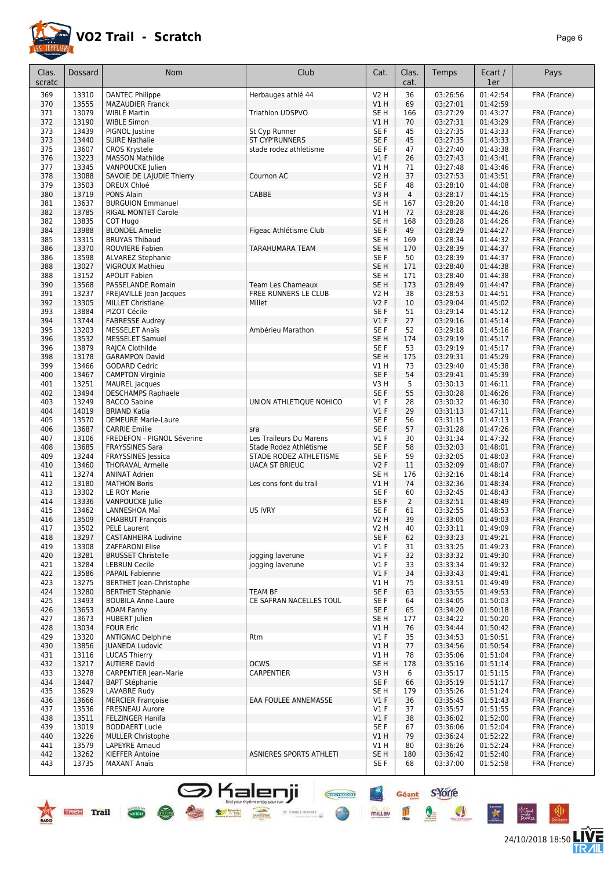

24/10/2018 18:50 **LIVE** 

| Clas.<br>scratc | Dossard        | Nom                                                    | Club                                            | Cat.                    | Clas.<br>cat.  | Temps                | Ecart /<br>1er       | Pays                         |
|-----------------|----------------|--------------------------------------------------------|-------------------------------------------------|-------------------------|----------------|----------------------|----------------------|------------------------------|
| 369             | 13310          | <b>DANTEC Philippe</b>                                 | Herbauges athlé 44                              | <b>V2 H</b>             | 36             | 03:26:56             | 01:42:54             | FRA (France)                 |
| 370             | 13555          | <b>MAZAUDIER Franck</b>                                |                                                 | VIH                     | 69             | 03:27:01             | 01:42:59             |                              |
| 371             | 13079          | <b>WIBLE Martin</b>                                    | <b>Triathlon UDSPVO</b>                         | SE H                    | 166            | 03:27:29             | 01:43:27             | FRA (France)                 |
| 372             | 13190          | <b>WIBLE Simon</b>                                     |                                                 | V1 H                    | 70             | 03:27:31             | 01:43:29             | FRA (France)                 |
| 373<br>373      | 13439<br>13440 | PIGNOL Justine                                         | St Cyp Runner<br><b>ST CYP'RUNNERS</b>          | SE F<br>SE F            | 45<br>45       | 03:27:35             | 01:43:33<br>01:43:33 | FRA (France)                 |
| 375             | 13607          | <b>SUIRE Nathalie</b><br><b>CROS Krystele</b>          | stade rodez athletisme                          | SE <sub>F</sub>         | 47             | 03:27:35<br>03:27:40 | 01:43:38             | FRA (France)<br>FRA (France) |
| 376             | 13223          | <b>MASSON Mathilde</b>                                 |                                                 | $VI$ F                  | 26             | 03:27:43             | 01:43:41             | FRA (France)                 |
| 377             | 13345          | VANPOUCKE Julien                                       |                                                 | V1 H                    | 71             | 03:27:48             | 01:43:46             | FRA (France)                 |
| 378             | 13088          | SAVOIE DE LAIUDIE Thierry                              | Cournon AC                                      | <b>V2 H</b>             | 37             | 03:27:53             | 01:43:51             | FRA (France)                 |
| 379             | 13503          | <b>DREUX Chloé</b>                                     |                                                 | SE <sub>F</sub>         | 48             | 03:28:10             | 01:44:08             | FRA (France)                 |
| 380             | 13719          | PONS Alain                                             | CABBE                                           | V3H                     | $\overline{4}$ | 03:28:17             | 01:44:15             | FRA (France)                 |
| 381<br>382      | 13637<br>13785 | <b>BURGUION Emmanuel</b><br><b>RIGAL MONTET Carole</b> |                                                 | SE <sub>H</sub><br>V1 H | 167<br>72      | 03:28:20<br>03:28:28 | 01:44:18<br>01:44:26 | FRA (France)<br>FRA (France) |
| 382             | 13835          | COT Hugo                                               |                                                 | SE H                    | 168            | 03:28:28             | 01:44:26             | FRA (France)                 |
| 384             | 13988          | <b>BLONDEL Amelie</b>                                  | Figeac Athlétisme Club                          | SE F                    | 49             | 03:28:29             | 01:44:27             | FRA (France)                 |
| 385             | 13315          | <b>BRUYAS Thibaud</b>                                  |                                                 | SE H                    | 169            | 03:28:34             | 01:44:32             | FRA (France)                 |
| 386             | 13370          | <b>ROUVIERE Fabien</b>                                 | TARAHUMARA TEAM                                 | SE <sub>H</sub>         | 170            | 03:28:39             | 01:44:37             | FRA (France)                 |
| 386             | 13598          | <b>ALVAREZ Stephanie</b>                               |                                                 | SE F                    | 50             | 03:28:39             | 01:44:37             | FRA (France)                 |
| 388             | 13027          | <b>VIGROUX Mathieu</b>                                 |                                                 | SE <sub>H</sub>         | 171            | 03:28:40             | 01:44:38             | FRA (France)                 |
| 388<br>390      | 13152<br>13568 | <b>APOLIT Fabien</b><br>PASSELANDE Romain              | <b>Team Les Chameaux</b>                        | SE H<br>SE <sub>H</sub> | 171<br>173     | 03:28:40<br>03:28:49 | 01:44:38<br>01:44:47 | FRA (France)                 |
| 391             | 13237          | FREJAVILLE Jean Jacques                                | FREE RUNNERS LE CLUB                            | V2 H                    | 38             | 03:28:53             | 01:44:51             | FRA (France)<br>FRA (France) |
| 392             | 13305          | <b>MILLET Christiane</b>                               | Millet                                          | <b>V2F</b>              | 10             | 03:29:04             | 01:45:02             | FRA (France)                 |
| 393             | 13884          | PIZOT Cécile                                           |                                                 | SE <sub>F</sub>         | 51             | 03:29:14             | 01:45:12             | FRA (France)                 |
| 394             | 13744          | <b>FABRESSE Audrey</b>                                 |                                                 | $VI$ F                  | 27             | 03:29:16             | 01:45:14             | FRA (France)                 |
| 395             | 13203          | <b>MESSELET Anaïs</b>                                  | Ambérieu Marathon                               | SE F                    | 52             | 03:29:18             | 01:45:16             | FRA (France)                 |
| 396             | 13532          | <b>MESSELET Samuel</b>                                 |                                                 | SE <sub>H</sub>         | 174            | 03:29:19             | 01:45:17             | FRA (France)                 |
| 396             | 13879          | RAJCA Clothilde                                        |                                                 | SE F                    | 53             | 03:29:19             | 01:45:17             | FRA (France)                 |
| 398             | 13178          | <b>GARAMPON David</b>                                  |                                                 | SE <sub>H</sub>         | 175            | 03:29:31             | 01:45:29             | FRA (France)                 |
| 399             | 13466          | <b>GODARD Cedric</b>                                   |                                                 | V1H                     | 73             | 03:29:40             | 01:45:38             | FRA (France)                 |
| 400<br>401      | 13467<br>13251 | <b>CAMPTON Virginie</b><br><b>MAUREL</b> Jacques       |                                                 | SE F<br>V3 H            | 54<br>5        | 03:29:41<br>03:30:13 | 01:45:39<br>01:46:11 | FRA (France)<br>FRA (France) |
| 402             | 13494          | <b>DESCHAMPS Raphaele</b>                              |                                                 | SE F                    | 55             | 03:30:28             | 01:46:26             | FRA (France)                 |
| 403             | 13249          | <b>BACCO Sabine</b>                                    | UNION ATHLETIQUE NOHICO                         | $VI$ F                  | 28             | 03:30:32             | 01:46:30             | FRA (France)                 |
| 404             | 14019          | <b>BRIAND Katia</b>                                    |                                                 | V1F                     | 29             | 03:31:13             | 01:47:11             | FRA (France)                 |
| 405             | 13570          | <b>DEMEURE Marie-Laure</b>                             |                                                 | SE <sub>F</sub>         | 56             | 03:31:15             | 01:47:13             | FRA (France)                 |
| 406             | 13687          | <b>CARRIE Emilie</b>                                   | sra                                             | SE F                    | 57             | 03:31:28             | 01:47:26             | FRA (France)                 |
| 407             | 13106          | FREDEFON - PIGNOL Séverine                             | Les Traileurs Du Marens                         | $VI$ F                  | 30             | 03:31:34             | 01:47:32             | FRA (France)                 |
| 408             | 13685          | <b>FRAYSSINES Sara</b>                                 | Stade Rodez Athlétisme                          | SE <sub>F</sub>         | 58             | 03:32:03             | 01:48:01             | FRA (France)                 |
| 409<br>410      | 13244<br>13460 | <b>FRAYSSINES</b> Jessica                              | STADE RODEZ ATHLETISME<br><b>UACA ST BRIEUC</b> | SE F                    | 59<br>11       | 03:32:05             | 01:48:03             | FRA (France)                 |
| 411             | 13274          | <b>THORAVAL Armelle</b><br><b>ANINAT Adrien</b>        |                                                 | <b>V2F</b><br>SE H      | 176            | 03:32:09<br>03:32:16 | 01:48:07<br>01:48:14 | FRA (France)<br>FRA (France) |
| 412             | 13180          | <b>MATHON Boris</b>                                    | Les cons font du trail                          | VIH                     | 74             | 03:32:36             | 01:48:34             | FRA (France)                 |
| 413             | 13302          | LE ROY Marie                                           |                                                 | SE <sub>F</sub>         | 60             | 03:32:45             | 01:48:43             | FRA (France)                 |
| 414             | 13336          | VANPOUCKE Julie                                        |                                                 | ES <sub>F</sub>         | 2              | 03:32:51             | 01:48:49             | FRA (France)                 |
| 415             | 13462          | LANNESHOA Maï                                          | <b>US IVRY</b>                                  | SE <sub>F</sub>         | 61             | 03:32:55             | 01:48:53             | FRA (France)                 |
| 416             | 13509          | <b>CHABRUT François</b>                                |                                                 | V2 H                    | 39             | 03:33:05             | 01:49:03             | FRA (France)                 |
| 417             | 13502          | PELE Laurent                                           |                                                 | V <sub>2</sub> H        | 40             | 03:33:11             | 01:49:09             | FRA (France)                 |
| 418             | 13297          | <b>CASTANHEIRA Ludivine</b>                            |                                                 | SE F<br>$VI$ F          | 62             | 03:33:23<br>03:33:25 | 01:49:21<br>01:49:23 | FRA (France)                 |
| 419<br>420      | 13308<br>13281 | <b>ZAFFARONI Elise</b><br><b>BRUSSET Christelle</b>    | jogging laverune                                | $VI$ F                  | 31<br>32       | 03:33:32             | 01:49:30             | FRA (France)<br>FRA (France) |
| 421             | 13284          | <b>LEBRUN Cecile</b>                                   | jogging laverune                                | $VI$ F                  | 33             | 03:33:34             | 01:49:32             | FRA (France)                 |
| 422             | 13586          | <b>PAPAIL Fabienne</b>                                 |                                                 | $VI$ F                  | 34             | 03:33:43             | 01:49:41             | FRA (France)                 |
| 423             | 13275          | <b>BERTHET Jean-Christophe</b>                         |                                                 | V1 H                    | 75             | 03:33:51             | 01:49:49             | FRA (France)                 |
| 424             | 13280          | <b>BERTHET Stephanie</b>                               | <b>TEAM BF</b>                                  | SE F                    | 63             | 03:33:55             | 01:49:53             | FRA (France)                 |
| 425             | 13493          | <b>BOUBILA Anne-Laure</b>                              | CE SAFRAN NACELLES TOUL                         | SE F                    | 64             | 03:34:05             | 01:50:03             | FRA (France)                 |
| 426             | 13653          | <b>ADAM Fanny</b>                                      |                                                 | SE F                    | 65             | 03:34:20             | 01:50:18             | FRA (France)                 |
| 427             | 13673          | <b>HUBERT</b> Julien                                   |                                                 | SE H                    | 177            | 03:34:22             | 01:50:20             | FRA (France)                 |
| 428<br>429      | 13034<br>13320 | <b>FOUR Eric</b><br><b>ANTIGNAC Delphine</b>           | Rtm                                             | V1H<br>$VI$ F           | 76<br>35       | 03:34:44<br>03:34:53 | 01:50:42<br>01:50:51 | FRA (France)<br>FRA (France) |
| 430             | 13856          | <b>JUANEDA Ludovic</b>                                 |                                                 | V1H                     | 77             | 03:34:56             | 01:50:54             | FRA (France)                 |
| 431             | 13116          | <b>LUCAS Thierry</b>                                   |                                                 | V1 H                    | 78             | 03:35:06             | 01:51:04             | FRA (France)                 |
| 432             | 13217          | <b>AUTIERE David</b>                                   | <b>OCWS</b>                                     | SE H                    | 178            | 03:35:16             | 01:51:14             | FRA (France)                 |
| 433             | 13278          | <b>CARPENTIER Jean-Marie</b>                           | CARPENTIER                                      | V3 H                    | 6              | 03:35:17             | 01:51:15             | FRA (France)                 |
| 434             | 13447          | <b>BAPT Stéphanie</b>                                  |                                                 | SE F                    | 66             | 03:35:19             | 01:51:17             | FRA (France)                 |
| 435             | 13629          | LAVABRE Rudy                                           |                                                 | SE H                    | 179            | 03:35:26             | 01:51:24             | FRA (France)                 |
| 436             | 13666          | <b>MERCIER Françoise</b>                               | EAA FOULEE ANNEMASSE                            | V1F                     | 36             | 03:35:45             | 01:51:43             | FRA (France)                 |
| 437<br>438      | 13536<br>13511 | <b>FRESNEAU Aurore</b><br>FELZINGER Hanifa             |                                                 | $VI$ F<br>$VI$ F        | 37<br>38       | 03:35:57<br>03:36:02 | 01:51:55<br>01:52:00 | FRA (France)<br>FRA (France) |
| 439             | 13019          | <b>BODDAERT Lucie</b>                                  |                                                 | SE F                    | 67             | 03:36:06             | 01:52:04             | FRA (France)                 |
| 440             | 13226          | <b>MULLER Christophe</b>                               |                                                 | V1 H                    | 79             | 03:36:24             | 01:52:22             | FRA (France)                 |
| 441             | 13579          | LAPEYRE Arnaud                                         |                                                 | V1 H                    | 80             | 03:36:26             | 01:52:24             | FRA (France)                 |
| 442             | 13262          | <b>KIEFFER Antoine</b>                                 | ASNIERES SPORTS ATHLETI                         | SE <sub>H</sub>         | 180            | 03:36:42             | 01:52:40             | FRA (France)                 |
| 443             | 13735          | <b>MAXANT Anaïs</b>                                    |                                                 | SE F                    | 68             | 03:37:00             | 01:52:58             | FRA (France)                 |

**S** Kalenji

 $\times$  etoile service

**But your mythm enjoy your** 

 $\overline{\text{Coh}}$ 

Géant S'Yorre

 $\bullet$ 

 $\bullet$ 

 $\ddot{\ast}$ 

⊬‴

皿

mittau

●

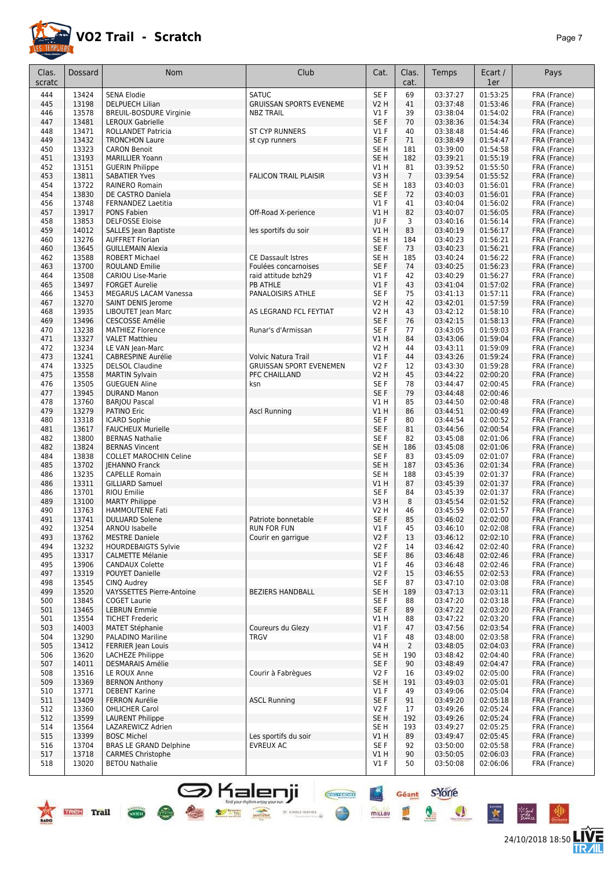

| Clas.<br>scratc | <b>Dossard</b> | <b>Nom</b>                                           | Club                           | Cat.                    | Clas.<br>cat.         | Temps                | Ecart /<br>1er       | Pays                         |
|-----------------|----------------|------------------------------------------------------|--------------------------------|-------------------------|-----------------------|----------------------|----------------------|------------------------------|
|                 |                |                                                      |                                |                         |                       |                      |                      |                              |
| 444             | 13424          | <b>SENA Elodie</b>                                   | <b>SATUC</b>                   | SE F                    | 69                    | 03:37:27             | 01:53:25<br>01:53:46 | FRA (France)                 |
| 445             | 13198          | DELPUECH Lilian                                      | <b>GRUISSAN SPORTS EVENEME</b> | V2 H                    | 41                    | 03:37:48             |                      | FRA (France)                 |
| 446             | 13578          | <b>BREUIL-BOSDURE Virginie</b>                       | <b>NBZ TRAIL</b>               | $VI$ F                  | 39                    | 03:38:04             | 01:54:02             | FRA (France)                 |
| 447<br>448      | 13481<br>13471 | <b>LEROUX Gabrielle</b><br><b>ROLLANDET Patricia</b> | <b>ST CYP RUNNERS</b>          | SE F<br>$VI$ F          | 70<br>40              | 03:38:36<br>03:38:48 | 01:54:34<br>01:54:46 | FRA (France)                 |
| 449             | 13432          | <b>TRONCHON Laure</b>                                | st cyp runners                 | SE F                    | 71                    | 03:38:49             | 01:54:47             | FRA (France)<br>FRA (France) |
| 450             | 13323          | <b>CARON Benoit</b>                                  |                                | SE <sub>H</sub>         | 181                   | 03:39:00             | 01:54:58             | FRA (France)                 |
| 451             | 13193          | <b>MARILLIER Yoann</b>                               |                                | SE <sub>H</sub>         | 182                   | 03:39:21             | 01:55:19             | FRA (France)                 |
| 452             | 13151          | <b>GUERIN Philippe</b>                               |                                | V1H                     | 81                    | 03:39:52             | 01:55:50             | FRA (France)                 |
| 453             | 13811          | <b>SABATIER Yves</b>                                 | <b>FALICON TRAIL PLAISIR</b>   | V3H                     | $\overline{7}$        | 03:39:54             | 01:55:52             | FRA (France)                 |
| 454             | 13722          | RAINERO Romain                                       |                                | SE <sub>H</sub>         | 183                   | 03:40:03             | 01:56:01             | FRA (France)                 |
| 454             | 13830          | DE CASTRO Daniela                                    |                                | SE F                    | 72                    | 03:40:03             | 01:56:01             | FRA (France)                 |
| 456             | 13748          | <b>FERNANDEZ Laetitia</b>                            |                                | $VI$ F                  | 41                    | 03:40:04             | 01:56:02             | FRA (France)                 |
| 457             | 13917          | PONS Fabien                                          | Off-Road X-perience            | VIH                     | 82                    | 03:40:07             | 01:56:05             | FRA (France)                 |
| 458             | 13853          | <b>DELFOSSE Eloise</b>                               |                                | JU F                    | 3                     | 03:40:16             | 01:56:14             | FRA (France)                 |
| 459             | 14012          | SALLES Jean Baptiste                                 | les sportifs du soir           | VIH                     | 83                    | 03:40:19             | 01:56:17             | FRA (France)                 |
| 460             | 13276          | <b>AUFFRET Florian</b>                               |                                | SE <sub>H</sub>         | 184                   | 03:40:23             | 01:56:21             | FRA (France)                 |
| 460             | 13645          | <b>GUILLEMAIN Alexia</b>                             |                                | SE F                    | 73                    | 03:40:23             | 01:56:21             | FRA (France)                 |
| 462             | 13588          | <b>ROBERT Michael</b>                                | <b>CE Dassault Istres</b>      | SE <sub>H</sub>         | 185                   | 03:40:24             | 01:56:22             | FRA (France)                 |
| 463             | 13700          | ROULAND Emilie                                       | Foulées concarnoises           | SE <sub>F</sub>         | 74                    | 03:40:25             | 01:56:23             | FRA (France)                 |
| 464             | 13508          | CARIOU Lise-Marie                                    | raid attitude bzh29            | $VI$ F                  | 42                    | 03:40:29             | 01:56:27             | FRA (France)                 |
| 465             | 13497          | <b>FORGET Aurelie</b>                                | <b>PB ATHLE</b>                | V1F                     | 43                    | 03:41:04             | 01:57:02             | FRA (France)                 |
| 466             | 13453          | <b>MEGARUS LACAM Vanessa</b>                         | PANALOISIRS ATHLE              | SE <sub>F</sub>         | 75                    | 03:41:13             | 01:57:11             | FRA (France)                 |
| 467             | 13270          | SAINT DENIS Jerome                                   |                                | V2 H                    | 42                    | 03:42:01             | 01:57:59             | FRA (France)                 |
| 468             | 13935          | LIBOUTET Jean Marc                                   | AS LEGRAND FCL FEYTIAT         | V2 H                    | 43                    | 03:42:12             | 01:58:10             | FRA (France)                 |
| 469             | 13496          | <b>CESCOSSE Amélie</b>                               |                                | SE <sub>F</sub>         | 76                    | 03:42:15             | 01:58:13             | FRA (France)                 |
| 470             | 13238          | MATHIEZ Florence                                     | Runar's d'Armissan             | SE F                    | 77                    | 03:43:05             | 01:59:03             | FRA (France)                 |
| 471             | 13327          | <b>VALET Matthieu</b>                                |                                | V1 H                    | 84                    | 03:43:06             | 01:59:04             | FRA (France)                 |
| 472             | 13234          | LE VAN Jean-Marc                                     |                                | <b>V2 H</b>             | 44                    | 03:43:11             | 01:59:09             | FRA (France)                 |
| 473             | 13241          | <b>CABRESPINE Aurélie</b>                            | Volvic Natura Trail            | V1F                     | 44                    | 03:43:26             | 01:59:24             | FRA (France)                 |
| 474             | 13325          | <b>DELSOL Claudine</b>                               | <b>GRUISSAN SPORT EVENEMEN</b> | V2F                     | 12                    | 03:43:30             | 01:59:28             | FRA (France)                 |
| 475             | 13558<br>13505 | <b>MARTIN Sylvain</b>                                | PFC CHAILLAND                  | V2 H                    | 45                    | 03:44:22             | 02:00:20             | FRA (France)                 |
| 476             | 13945          | <b>GUEGUEN Aline</b>                                 | ksn                            | SE <sub>F</sub><br>SE F | 78<br>79              | 03:44:47<br>03:44:48 | 02:00:45<br>02:00:46 | FRA (France)                 |
| 477<br>478      | 13760          | <b>DURAND Manon</b><br><b>BARJOU Pascal</b>          |                                | VIH                     | 85                    | 03:44:50             | 02:00:48             | FRA (France)                 |
| 479             | 13279          | <b>PATINO Eric</b>                                   | <b>Ascl Running</b>            | V1H                     | 86                    | 03:44:51             | 02:00:49             | FRA (France)                 |
| 480             | 13318          | <b>ICARD Sophie</b>                                  |                                | SE F                    | 80                    | 03:44:54             | 02:00:52             | FRA (France)                 |
| 481             | 13617          | <b>FAUCHEUX Murielle</b>                             |                                | SE F                    | 81                    | 03:44:56             | 02:00:54             | FRA (France)                 |
| 482             | 13800          | <b>BERNAS Nathalie</b>                               |                                | SE F                    | 82                    | 03:45:08             | 02:01:06             | FRA (France)                 |
| 482             | 13824          | <b>BERNAS Vincent</b>                                |                                | SE H                    | 186                   | 03:45:08             | 02:01:06             | FRA (France)                 |
| 484             | 13838          | <b>COLLET MAROCHIN Celine</b>                        |                                | SE <sub>F</sub>         | 83                    | 03:45:09             | 02:01:07             | FRA (France)                 |
| 485             | 13702          | <b>JEHANNO Franck</b>                                |                                | SE <sub>H</sub>         | 187                   | 03:45:36             | 02:01:34             | FRA (France)                 |
| 486             | 13235          | <b>CAPELLE Romain</b>                                |                                | SE <sub>H</sub>         | 188                   | 03:45:39             | 02:01:37             | FRA (France)                 |
| 486             | 13311          | <b>GILLIARD Samuel</b>                               |                                | VIH                     | 87                    | 03:45:39             | 02:01:37             | FRA (France)                 |
| 486             | 13701          | <b>RIOU Emilie</b>                                   |                                | SE F                    | 84                    | 03:45:39             | 02:01:37             | FRA (France)                 |
| 489             | 13100          | <b>MARTY Philippe</b>                                |                                | V3 H                    | 8                     | 03:45:54             | 02:01:52             | FRA (France)                 |
| 490             | 13763          | <b>HAMMOUTENE Fati</b>                               |                                | V2 H                    | 46                    | 03:45:59             | 02:01:57             | FRA (France)                 |
| 491             | 13741          | <b>DULUARD Solene</b>                                | Patriote bonnetable            | SE <sub>F</sub>         | 85                    | 03:46:02             | 02:02:00             | FRA (France)                 |
| 492             | 13254          | ARNOU Isabelle                                       | RUN FOR FUN                    | $VI$ F                  | 45                    | 03:46:10             | 02:02:08             | FRA (France)                 |
| 493             | 13762          | <b>MESTRE Daniele</b>                                | Courir en garrique             | V2F                     | 13                    | 03:46:12             | 02:02:10             | FRA (France)                 |
| 494             | 13232          | <b>HOURDEBAIGTS Sylvie</b>                           |                                | V2F                     | 14                    | 03:46:42             | 02:02:40             | FRA (France)                 |
| 495             | 13317          | <b>CALMETTE Mélanie</b>                              |                                | SE F                    | 86                    | 03:46:48             | 02:02:46             | FRA (France)                 |
| 495             | 13906          | <b>CANDAUX Colette</b>                               |                                | $VI$ F                  | 46                    | 03:46:48             | 02:02:46             | FRA (France)                 |
| 497             | 13319          | POUYET Danielle                                      |                                | V2F                     | 15                    | 03:46:55             | 02:02:53             | FRA (France)                 |
| 498             | 13545          | CINQ Audrey                                          |                                | SE F                    | 87                    | 03:47:10             | 02:03:08             | FRA (France)                 |
| 499             | 13520          | <b>VAYSSETTES Pierre-Antoine</b>                     | <b>BEZIERS HANDBALL</b>        | SE H                    | 189                   | 03:47:13             | 02:03:11             | FRA (France)                 |
| 500             | 13845          | <b>COGET Laurie</b>                                  |                                | SE F                    | 88                    | 03:47:20             | 02:03:18             | FRA (France)                 |
| 501             | 13465          | <b>LEBRUN Emmie</b>                                  |                                | SE F                    | 89                    | 03:47:22             | 02:03:20             | FRA (France)                 |
| 501             | 13554          | <b>TICHET Frederic</b>                               |                                | V1 H                    | 88                    | 03:47:22             | 02:03:20             | FRA (France)                 |
| 503             | 14003          | <b>MATET Stéphanie</b>                               | Coureurs du Glezy              | V1F                     | 47                    | 03:47:56             | 02:03:54             | FRA (France)                 |
| 504             | 13290          | PALADINO Mariline                                    | <b>TRGV</b>                    | $VI$ F                  | 48                    | 03:48:00             | 02:03:58             | FRA (France)                 |
| 505<br>506      | 13412<br>13620 | <b>FERRIER Jean Louis</b><br>LACHEZE Philippe        |                                | V4 H<br>SE H            | $\overline{2}$<br>190 | 03:48:05<br>03:48:42 | 02:04:03<br>02:04:40 | FRA (France)<br>FRA (France) |
| 507             | 14011          | DESMARAIS Amélie                                     |                                | SE F                    | 90                    | 03:48:49             | 02:04:47             | FRA (France)                 |
| 508             | 13516          | LE ROUX Anne                                         | Courir à Fabrègues             | V2F                     | 16                    | 03:49:02             | 02:05:00             | FRA (France)                 |
| 509             | 13369          | <b>BERNON Anthony</b>                                |                                | SE H                    | 191                   | 03:49:03             | 02:05:01             | FRA (France)                 |
| 510             | 13771          | <b>DEBENT Karine</b>                                 |                                | $VI$ F                  | 49                    | 03:49:06             | 02:05:04             | FRA (France)                 |
| 511             | 13409          | <b>FERRON Aurélie</b>                                | <b>ASCL Running</b>            | SE F                    | 91                    | 03:49:20             | 02:05:18             | FRA (France)                 |
| 512             | 13360          | OHLICHER Carol                                       |                                | V2F                     | 17                    | 03:49:26             | 02:05:24             | FRA (France)                 |
| 512             | 13599          | <b>LAURENT Philippe</b>                              |                                | SE H                    | 192                   | 03:49:26             | 02:05:24             | FRA (France)                 |
| 514             | 13564          | LAZAREWICZ Adrien                                    |                                | SE H                    | 193                   | 03:49:27             | 02:05:25             | FRA (France)                 |
| 515             | 13399          | <b>BOSC Michel</b>                                   | Les sportifs du soir           | V1 H                    | 89                    | 03:49:47             | 02:05:45             | FRA (France)                 |
| 516             | 13704          | <b>BRAS LE GRAND Delphine</b>                        | <b>EVREUX AC</b>               | SE F                    | 92                    | 03:50:00             | 02:05:58             | FRA (France)                 |
| 517             | 13718          | <b>CARMES Christophe</b>                             |                                | V1 H                    | 90                    | 03:50:05             | 02:06:03             | FRA (France)                 |
| 518             | 13020          | <b>BETOU Nathalie</b>                                |                                | $VI$ F                  | 50                    | 03:50:08             | 02:06:06             | FRA (France)                 |

S Kalenji



 $\overline{\text{6600}}$ 

Pã.

Géant S-Yorre

 $\bullet$ 

 $\bullet$ 

 $\ddot{\ast}$ 

皿

 $\frac{1}{2}$ 

mittau

**CHEFFIORE** 

⊕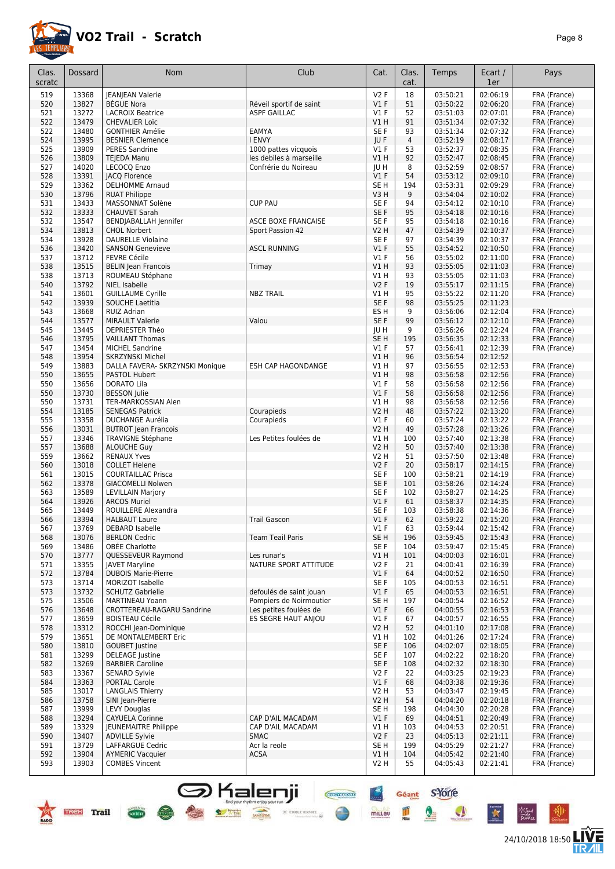

| Clas.      | Dossard        | Nom                                              | Club                       | Cat.             | Clas.          | Temps                | Ecart /              | Pays                         |
|------------|----------------|--------------------------------------------------|----------------------------|------------------|----------------|----------------------|----------------------|------------------------------|
| scratc     |                |                                                  |                            |                  | cat.           |                      | 1er                  |                              |
| 519        | 13368          | JEANJEAN Valerie                                 |                            | V2F              | 18             | 03:50:21             | 02:06:19             | FRA (France)                 |
| 520        | 13827<br>13272 | <b>BEGUE Nora</b>                                | Réveil sportif de saint    | $VI$ F           | 51             | 03:50:22             | 02:06:20<br>02:07:01 | FRA (France)                 |
| 521<br>522 | 13479          | <b>LACROIX Beatrice</b><br><b>CHEVALIER Loïc</b> | <b>ASPF GAILLAC</b>        | $VI$ F<br>V1 H   | 52<br>91       | 03:51:03<br>03:51:34 | 02:07:32             | FRA (France)<br>FRA (France) |
| 522        | 13480          | <b>GONTHIER Amélie</b>                           | EAMYA                      | SE <sub>F</sub>  | 93             | 03:51:34             | 02:07:32             | FRA (France)                 |
| 524        | 13995          | <b>BESNIER Clemence</b>                          | I ENVY                     | JUF              | $\overline{4}$ | 03:52:19             | 02:08:17             | FRA (France)                 |
| 525        | 13909          | <b>PERES Sandrine</b>                            | 1000 pattes vicquois       | $VI$ F           | 53             | 03:52:37             | 02:08:35             | FRA (France)                 |
| 526        | 13809          | <b>TEJEDA Manu</b>                               | les debiles à marseille    | VIH              | 92             | 03:52:47             | 02:08:45             | FRA (France)                 |
| 527        | 14020          | LECOCQ Enzo                                      | Confrérie du Noireau       | JU H             | 8              | 03:52:59             | 02:08:57             | FRA (France)                 |
| 528        | 13391          | <b>JACQ Florence</b>                             |                            | V1F              | 54             | 03:53:12             | 02:09:10             | FRA (France)                 |
| 529        | 13362          | <b>DELHOMME Arnaud</b>                           |                            | SE <sub>H</sub>  | 194            | 03:53:31             | 02:09:29             | FRA (France)                 |
| 530        | 13796<br>13433 | <b>RUAT Philippe</b>                             | <b>CUP PAU</b>             | V3H              | 9<br>94        | 03:54:04             | 02:10:02<br>02:10:10 | FRA (France)                 |
| 531<br>532 | 13333          | MASSONNAT Solène<br><b>CHAUVET Sarah</b>         |                            | SE F<br>SE F     | 95             | 03:54:12<br>03:54:18 | 02:10:16             | FRA (France)<br>FRA (France) |
| 532        | 13547          | BENDJABALLAH Jennifer                            | <b>ASCE BOXE FRANCAISE</b> | SE F             | 95             | 03:54:18             | 02:10:16             | FRA (France)                 |
| 534        | 13813          | <b>CHOL Norbert</b>                              | Sport Passion 42           | V2 H             | 47             | 03:54:39             | 02:10:37             | FRA (France)                 |
| 534        | 13928          | <b>DAURELLE Violaine</b>                         |                            | SE F             | 97             | 03:54:39             | 02:10:37             | FRA (France)                 |
| 536        | 13420          | <b>SANSON Genevieve</b>                          | <b>ASCL RUNNING</b>        | V1F              | 55             | 03:54:52             | 02:10:50             | FRA (France)                 |
| 537        | 13712          | <b>FEVRE Cécile</b>                              |                            | $VI$ F           | 56             | 03:55:02             | 02:11:00             | FRA (France)                 |
| 538        | 13515          | <b>BELIN Jean Francois</b>                       | Trimay                     | V1 H             | 93             | 03:55:05             | 02:11:03             | FRA (France)                 |
| 538        | 13713          | ROUMEAU Stéphane                                 |                            | V1 H             | 93             | 03:55:05             | 02:11:03             | FRA (France)                 |
| 540<br>541 | 13792<br>13601 | <b>NIEL Isabelle</b><br><b>GUILLAUME Cyrille</b> | <b>NBZ TRAIL</b>           | V2F<br>V1 H      | 19<br>95       | 03:55:17<br>03:55:22 | 02:11:15<br>02:11:20 | FRA (France)<br>FRA (France) |
| 542        | 13939          | SOUCHE Laetitia                                  |                            | SE F             | 98             | 03:55:25             | 02:11:23             |                              |
| 543        | 13668          | <b>RUIZ Adrian</b>                               |                            | ES H             | 9              | 03:56:06             | 02:12:04             | FRA (France)                 |
| 544        | 13577          | <b>MIRAULT Valerie</b>                           | Valou                      | SE F             | 99             | 03:56:12             | 02:12:10             | FRA (France)                 |
| 545        | 13445          | DEPRIESTER Théo                                  |                            | JU H             | 9              | 03:56:26             | 02:12:24             | FRA (France)                 |
| 546        | 13795          | <b>VAILLANT Thomas</b>                           |                            | SE H             | 195            | 03:56:35             | 02:12:33             | FRA (France)                 |
| 547        | 13454          | <b>MICHEL Sandrine</b>                           |                            | $VI$ F           | 57             | 03:56:41             | 02:12:39             | FRA (France)                 |
| 548        | 13954          | <b>SKRZYNSKI Michel</b>                          |                            | VIH              | 96             | 03:56:54             | 02:12:52             |                              |
| 549<br>550 | 13883<br>13655 | DALLA FAVERA- SKRZYNSKI Monique                  | <b>ESH CAP HAGONDANGE</b>  | V1H              | 97<br>98       | 03:56:55             | 02:12:53<br>02:12:56 | FRA (France)                 |
| 550        | 13656          | PASTOL Hubert<br>DORATO Lila                     |                            | VIH<br>$VI$ F    | 58             | 03:56:58<br>03:56:58 | 02:12:56             | FRA (France)<br>FRA (France) |
| 550        | 13730          | <b>BESSON</b> Julie                              |                            | V1F              | 58             | 03:56:58             | 02:12:56             | FRA (France)                 |
| 550        | 13731          | TER-MARKOSSIAN Alen                              |                            | V1H              | 98             | 03:56:58             | 02:12:56             | FRA (France)                 |
| 554        | 13185          | <b>SENEGAS Patrick</b>                           | Courapieds                 | <b>V2 H</b>      | 48             | 03:57:22             | 02:13:20             | FRA (France)                 |
| 555        | 13358          | <b>DUCHANGE Aurélia</b>                          | Courapieds                 | $VI$ F           | 60             | 03:57:24             | 02:13:22             | FRA (France)                 |
| 556        | 13031          | <b>BUTROT Jean Francois</b>                      |                            | V2 H             | 49             | 03:57:28             | 02:13:26             | FRA (France)                 |
| 557        | 13346          | <b>TRAVIGNE Stéphane</b>                         | Les Petites foulées de     | V1H              | 100            | 03:57:40             | 02:13:38             | FRA (France)                 |
| 557        | 13688          | <b>ALOUCHE Guy</b>                               |                            | V2 H             | 50             | 03:57:40             | 02:13:38             | FRA (France)                 |
| 559<br>560 | 13662<br>13018 | <b>RENAUX Yves</b><br><b>COLLET Helene</b>       |                            | V2 H<br>V2F      | 51<br>20       | 03:57:50<br>03:58:17 | 02:13:48<br>02:14:15 | FRA (France)<br>FRA (France) |
| 561        | 13015          | <b>COURTAILLAC Prisca</b>                        |                            | SE F             | 100            | 03:58:21             | 02:14:19             | FRA (France)                 |
| 562        | 13378          | <b>GIACOMELLI Nolwen</b>                         |                            | SE F             | 101            | 03:58:26             | 02:14:24             | FRA (France)                 |
| 563        | 13589          | <b>LEVILLAIN Marjory</b>                         |                            | SE <sub>F</sub>  | 102            | 03:58:27             | 02:14:25             | FRA (France)                 |
| 564        | 13926          | <b>ARCOS Muriel</b>                              |                            | V1F              | 61             | 03:58:37             | 02:14:35             | FRA (France)                 |
| 565        | 13449          | ROUILLERE Alexandra                              |                            | SE F             | 103            | 03:58:38             | 02:14:36             | FRA (France)                 |
| 566        | 13394          | <b>HALBAUT Laure</b>                             | <b>Trail Gascon</b>        | V1F              | 62             | 03:59:22             | 02:15:20             | FRA (France)                 |
| 567        | 13769          | <b>DEBARD Isabelle</b>                           |                            | $VI$ F           | 63             | 03:59:44             | 02:15:42             | FRA (France)<br>FRA (France) |
| 568<br>569 | 13076<br>13486 | <b>BERLON Cedric</b><br><b>OBÉE Charlotte</b>    | Team Teail Paris           | SE H<br>SE F     | 196<br>104     | 03:59:45<br>03:59:47 | 02:15:43<br>02:15:45 | FRA (France)                 |
| 570        | 13777          | QUESSEVEUR Raymond                               | Les runar's                | V1 H             | 101            | 04:00:03             | 02:16:01             | FRA (France)                 |
| 571        | 13355          | <b>JAVET Maryline</b>                            | NATURE SPORT ATTITUDE      | V2F              | 21             | 04:00:41             | 02:16:39             | FRA (France)                 |
| 572        | 13784          | <b>DUBOIS Marie-Pierre</b>                       |                            | $VI$ F           | 64             | 04:00:52             | 02:16:50             | FRA (France)                 |
| 573        | 13714          | <b>MORIZOT Isabelle</b>                          |                            | SE F             | 105            | 04:00:53             | 02:16:51             | FRA (France)                 |
| 573        | 13732          | <b>SCHUTZ Gabrielle</b>                          | defoulés de saint jouan    | $VI$ F           | 65             | 04:00:53             | 02:16:51             | FRA (France)                 |
| 575        | 13506          | <b>MARTINEAU Yoann</b>                           | Pompiers de Noirmoutier    | SE H             | 197            | 04:00:54             | 02:16:52             | FRA (France)                 |
| 576        | 13648          | CROTTEREAU-RAGARU Sandrine                       | Les petites foulées de     | $VI$ F<br>$VI$ F | 66             | 04:00:55             | 02:16:53             | FRA (France)                 |
| 577<br>578 | 13659<br>13312 | <b>BOISTEAU Cécile</b><br>ROCCHI Jean-Dominique  | ES SEGRE HAUT ANJOU        | V2H              | 67<br>52       | 04:00:57<br>04:01:10 | 02:16:55<br>02:17:08 | FRA (France)<br>FRA (France) |
| 579        | 13651          | DE MONTALEMBERT Eric                             |                            | V1 H             | 102            | 04:01:26             | 02:17:24             | FRA (France)                 |
| 580        | 13810          | <b>GOUBET Justine</b>                            |                            | SE F             | 106            | 04:02:07             | 02:18:05             | FRA (France)                 |
| 581        | 13299          | <b>DELEAGE</b> Justine                           |                            | SE F             | 107            | 04:02:22             | 02:18:20             | FRA (France)                 |
| 582        | 13269          | <b>BARBIER Caroline</b>                          |                            | SE F             | 108            | 04:02:32             | 02:18:30             | FRA (France)                 |
| 583        | 13367          | <b>SENARD Sylvie</b>                             |                            | V2F              | 22             | 04:03:25             | 02:19:23             | FRA (France)                 |
| 584        | 13363          | <b>PORTAL Carole</b>                             |                            | $VI$ F           | 68             | 04:03:38             | 02:19:36             | FRA (France)                 |
| 585        | 13017          | <b>LANGLAIS Thierry</b>                          |                            | V2 H             | 53             | 04:03:47             | 02:19:45             | FRA (France)                 |
| 586<br>587 | 13758<br>13999 | SINI Jean-Pierre<br><b>LEVY Douglas</b>          |                            | V2 H<br>SE H     | 54<br>198      | 04:04:20<br>04:04:30 | 02:20:18<br>02:20:28 | FRA (France)<br>FRA (France) |
| 588        | 13294          | <b>CAYUELA Corinne</b>                           | CAP D'AIL MACADAM          | $VI$ F           | 69             | 04:04:51             | 02:20:49             | FRA (France)                 |
| 589        | 13329          | <b>JEUNEMAITRE Philippe</b>                      | CAP D'AIL MACADAM          | VIH              | 103            | 04:04:53             | 02:20:51             | FRA (France)                 |
| 590        | 13407          | <b>ADVILLE Sylvie</b>                            | <b>SMAC</b>                | V2F              | 23             | 04:05:13             | 02:21:11             | FRA (France)                 |
| 591        | 13729          | LAFFARGUE Cedric                                 | Acr la reole               | SE H             | 199            | 04:05:29             | 02:21:27             | FRA (France)                 |
| 592        | 13904          | <b>AYMERIC Vacquier</b>                          | <b>ACSA</b>                | VIH              | 104            | 04:05:42             | 02:21:40             | FRA (France)                 |
| 593        | 13903          | <b>COMBES Vincent</b>                            |                            | V2 H             | 55             | 04:05:43             | 02:21:41             | FRA (France)                 |

**S** Kalenji

**Service** Water

**COCIETY** 





⊬‴

Géant S'Yorre

 $\bullet$ 

 $\bullet$ 

 $\ddot{\ast}$ 

圖

mittau

**CREATIVORE** 

 $\bigoplus$ 

 $\times$  etoile service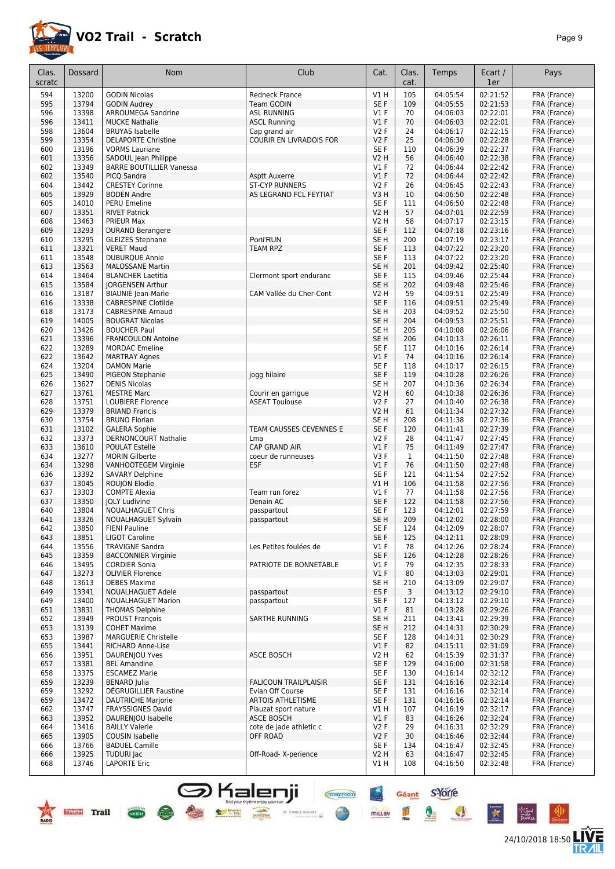

24/10/2018 18:50 **LIVE** 

Géant S'Yorre

 $\bullet$ 

 $\bullet$ 

×

is Sud<br>Tallan

 $\frac{m}{m}$ 

mittau

**CHAPTERS** 

●

 $\le$  erone server  $\otimes$ 

| Clas.<br>scratc | Dossard        | Nom                                                  | Club                                | Cat.                               | Clas.<br>cat. | Temps                | Ecart /<br>1er       | Pays                         |
|-----------------|----------------|------------------------------------------------------|-------------------------------------|------------------------------------|---------------|----------------------|----------------------|------------------------------|
| 594             | 13200          | <b>GODIN Nicolas</b>                                 | <b>Redneck France</b>               | V1H                                | 105           | 04:05:54             | 02:21:52             | FRA (France)                 |
| 595             | 13794          | <b>GODIN Audrey</b>                                  | <b>Team GODIN</b>                   | SE F                               | 109           | 04:05:55             | 02:21:53             | FRA (France)                 |
| 596             | 13398          | ARROUMEGA Sandrine                                   | <b>ASL RUNNING</b>                  | $VI$ F                             | 70            | 04:06:03             | 02:22:01             | FRA (France)                 |
| 596             | 13411          | <b>MUCKE Nathalie</b>                                | <b>ASCL Running</b>                 | $VI$ F                             | 70            | 04:06:03             | 02:22:01             | FRA (France)                 |
| 598             | 13604          | <b>BRUYAS Isabelle</b>                               | Cap grand air                       | <b>V2F</b>                         | 24            | 04:06:17             | 02:22:15             | FRA (France)                 |
| 599             | 13354          | <b>DELAPORTE Christine</b>                           | <b>COURIR EN LIVRADOIS FOR</b>      | <b>V2F</b>                         | 25            | 04:06:30             | 02:22:28             | FRA (France)                 |
| 600             | 13196          | <b>VORMS Lauriane</b>                                |                                     | SE <sub>F</sub>                    | 110           | 04:06:39             | 02:22:37             | FRA (France)                 |
| 601             | 13356          | SADOUL Jean Philippe                                 |                                     | <b>V2 H</b>                        | 56            | 04:06:40             | 02:22:38             | FRA (France)                 |
| 602             | 13349          | <b>BARRE BOUTILLIER Vanessa</b>                      |                                     | $VI$ F                             | 72            | 04:06:44             | 02:22:42             | FRA (France)                 |
| 602             | 13540          | PICQ Sandra                                          | <b>Asptt Auxerre</b>                | $VI$ F                             | 72            | 04:06:44             | 02:22:42             | FRA (France)                 |
| 604             | 13442          | <b>CRESTEY Corinne</b>                               | <b>ST-CYP RUNNERS</b>               | V2F                                | 26            | 04:06:45             | 02:22:43             | FRA (France)                 |
| 605             | 13929          | <b>BODEN Andre</b>                                   | AS LEGRAND FCL FEYTIAT              | V3H                                | 10            | 04:06:50             | 02:22:48             | FRA (France)                 |
| 605<br>607      | 14010<br>13351 | PERU Emeline                                         |                                     | SE <sub>F</sub><br><b>V2 H</b>     | 111<br>57     | 04:06:50<br>04:07:01 | 02:22:48<br>02:22:59 | FRA (France)                 |
| 608             | 13463          | <b>RIVET Patrick</b><br>PRIEUR Max                   |                                     | V <sub>2</sub> H                   | 58            | 04:07:17             | 02:23:15             | FRA (France)<br>FRA (France) |
| 609             | 13293          | <b>DURAND Berangere</b>                              |                                     | SE F                               | 112           | 04:07:18             | 02:23:16             | FRA (France)                 |
| 610             | 13295          | <b>GLEIZES Stephane</b>                              | Porti'RUN                           | SE H                               | 200           | 04:07:19             | 02:23:17             | FRA (France)                 |
| 611             | 13321          | <b>VERET Maud</b>                                    | TEAM RPZ                            | SE F                               | 113           | 04:07:22             | 02:23:20             | FRA (France)                 |
| 611             | 13548          | <b>DUBURQUE Annie</b>                                |                                     | SE F                               | 113           | 04:07:22             | 02:23:20             | FRA (France)                 |
| 613             | 13563          | <b>MALOSSANE Martin</b>                              |                                     | SE <sub>H</sub>                    | 201           | 04:09:42             | 02:25:40             | FRA (France)                 |
| 614             | 13464          | <b>BLANCHER Laetitia</b>                             | Clermont sport enduranc             | SE F                               | 115           | 04:09:46             | 02:25:44             | FRA (France)                 |
| 615             | 13584          | <b>JORGENSEN Arthur</b>                              |                                     | SE <sub>H</sub>                    | 202           | 04:09:48             | 02:25:46             | FRA (France)                 |
| 616             | 13187          | <b>BIAUNIÉ</b> Jean-Marie                            | CAM Vallée du Cher-Cont             | <b>V2 H</b>                        | 59            | 04:09:51             | 02:25:49             | FRA (France)                 |
| 616             | 13338          | <b>CABRESPINE Clotilde</b>                           |                                     | SE <sub>F</sub>                    | 116           | 04:09:51             | 02:25:49             | FRA (France)                 |
| 618             | 13173          | <b>CABRESPINE Arnaud</b>                             |                                     | SE <sub>H</sub>                    | 203           | 04:09:52             | 02:25:50             | FRA (France)                 |
| 619             | 14005          | <b>BOUGRAT Nicolas</b>                               |                                     | SE <sub>H</sub>                    | 204           | 04:09:53             | 02:25:51             | FRA (France)                 |
| 620<br>621      | 13426<br>13396 | <b>BOUCHER Paul</b><br><b>FRANCOULON Antoine</b>     |                                     | SE <sub>H</sub><br>SE <sub>H</sub> | 205<br>206    | 04:10:08<br>04:10:13 | 02:26:06<br>02:26:11 | FRA (France)<br>FRA (France) |
| 622             | 13289          | <b>MORDAC</b> Emeline                                |                                     | SE F                               | 117           | 04:10:16             | 02:26:14             | FRA (France)                 |
| 622             | 13642          | <b>MARTRAY Agnes</b>                                 |                                     | $VI$ F                             | 74            | 04:10:16             | 02:26:14             | FRA (France)                 |
| 624             | 13204          | <b>DAMON Marie</b>                                   |                                     | SE <sub>F</sub>                    | 118           | 04:10:17             | 02:26:15             | FRA (France)                 |
| 625             | 13490          | <b>PIGEON Stephanie</b>                              | jogg hilaire                        | SE F                               | 119           | 04:10:28             | 02:26:26             | FRA (France)                 |
| 626             | 13627          | <b>DENIS Nicolas</b>                                 |                                     | SE <sub>H</sub>                    | 207           | 04:10:36             | 02:26:34             | FRA (France)                 |
| 627             | 13761          | <b>MESTRE Marc</b>                                   | Courir en garrigue                  | <b>V2 H</b>                        | 60            | 04:10:38             | 02:26:36             | FRA (France)                 |
| 628             | 13751          | <b>LOUBIERE Florence</b>                             | <b>ASEAT Toulouse</b>               | V2F                                | 27            | 04:10:40             | 02:26:38             | FRA (France)                 |
| 629             | 13379          | <b>BRIAND Francis</b>                                |                                     | <b>V2 H</b>                        | 61            | 04:11:34             | 02:27:32             | FRA (France)                 |
| 630             | 13754          | <b>BRUNO Florian</b>                                 |                                     | SE <sub>H</sub>                    | 208           | 04:11:38             | 02:27:36             | FRA (France)                 |
| 631             | 13102          | <b>GALERA Sophie</b>                                 | TEAM CAUSSES CEVENNES E             | SE F                               | 120           | 04:11:41             | 02:27:39             | FRA (France)                 |
| 632<br>633      | 13373<br>13610 | <b>DERNONCOURT Nathalie</b><br><b>POULAT Estelle</b> | Lma<br>CAP GRAND AIR                | <b>V2F</b><br>$VI$ F               | 28<br>75      | 04:11:47<br>04:11:49 | 02:27:45<br>02:27:47 | FRA (France)<br>FRA (France) |
| 634             | 13277          | <b>MORIN Gilberte</b>                                | coeur de runneuses                  | V3 F                               | 1             | 04:11:50             | 02:27:48             | FRA (France)                 |
| 634             | 13298          | VANHOOTEGEM Virginie                                 | <b>ESF</b>                          | $VI$ F                             | 76            | 04:11:50             | 02:27:48             | FRA (France)                 |
| 636             | 13392          | <b>SAVARY Delphine</b>                               |                                     | SE F                               | 121           | 04:11:54             | 02:27:52             | FRA (France)                 |
| 637             | 13045          | ROUJON Elodie                                        |                                     | V1 H                               | 106           | 04:11:58             | 02:27:56             | FRA (France)                 |
| 637             | 13303          | <b>COMPTE Alexia</b>                                 | Team run forez                      | $VI$ F                             | 77            | 04:11:58             | 02:27:56             | FRA (France)                 |
| 637             | 13350          | <b>JOLY Ludivine</b>                                 | Denain AC                           | SE F                               | 122           | 04:11:58             | 02:27:56             | FRA (France)                 |
| 640             | 13804          | <b>NOUALHAGUET Chris</b>                             | passpartout                         | SE F                               | 123           | 04:12:01             | 02:27:59             | FRA (France)                 |
| 641             | 13326          | <b>NOUALHAGUET Sylvain</b>                           | passpartout                         | SE <sub>H</sub>                    | 209           | 04:12:02             | 02:28:00             | FRA (France)                 |
| 642<br>643      | 13850<br>13851 | <b>FIENI Pauline</b><br><b>LIGOT Caroline</b>        |                                     | SE F<br>SE F                       | 124<br>125    | 04:12:09<br>04:12:11 | 02:28:07<br>02:28:09 | FRA (France)                 |
| 644             | 13556          | <b>TRAVIGNE Sandra</b>                               | Les Petites foulées de              | $VI$ F                             | 78            | 04:12:26             | 02:28:24             | FRA (France)<br>FRA (France) |
| 645             | 13359          | <b>BACCONNIER Virginie</b>                           |                                     | SE F                               | 126           | 04:12:28             | 02:28:26             | FRA (France)                 |
| 646             | 13495          | <b>CORDIER Sonia</b>                                 | PATRIOTE DE BONNETABLE              | $VI$ F                             | 79            | 04:12:35             | 02:28:33             | FRA (France)                 |
| 647             | 13273          | <b>OLIVIER Florence</b>                              |                                     | $VI$ F                             | 80            | 04:13:03             | 02:29:01             | FRA (France)                 |
| 648             | 13613          | <b>DEBES Maxime</b>                                  |                                     | SE H                               | 210           | 04:13:09             | 02:29:07             | FRA (France)                 |
| 649             | 13341          | NOUALHAGUET Adele                                    | passpartout                         | ES F                               | 3             | 04:13:12             | 02:29:10             | FRA (France)                 |
| 649             | 13400          | <b>NOUALHAGUET Marion</b>                            | passpartout                         | SE F                               | 127           | 04:13:12             | 02:29:10             | FRA (France)                 |
| 651             | 13831          | <b>THOMAS Delphine</b>                               |                                     | V1F                                | 81            | 04:13:28             | 02:29:26             | FRA (France)                 |
| 652             | 13949          | <b>PROUST François</b>                               | SARTHE RUNNING                      | SE H                               | 211           | 04:13:41             | 02:29:39             | FRA (France)                 |
| 653<br>653      | 13139<br>13987 | <b>COHET Maxime</b><br><b>MARGUERIE Christelle</b>   |                                     | SE <sub>H</sub><br>SE F            | 212<br>128    | 04:14:31<br>04:14:31 | 02:30:29<br>02:30:29 | FRA (France)<br>FRA (France) |
| 655             | 13441          | <b>RICHARD Anne-Lise</b>                             |                                     | V1F                                | 82            | 04:15:11             | 02:31:09             | FRA (France)                 |
| 656             | 13951          | DAURENJOU Yves                                       | <b>ASCE BOSCH</b>                   | V2 H                               | 62            | 04:15:39             | 02:31:37             | FRA (France)                 |
| 657             | 13381          | <b>BEL Amandine</b>                                  |                                     | SE F                               | 129           | 04:16:00             | 02:31:58             | FRA (France)                 |
| 658             | 13375          | <b>ESCAMEZ Marie</b>                                 |                                     | SE F                               | 130           | 04:16:14             | 02:32:12             | FRA (France)                 |
| 659             | 13239          | <b>BENARD</b> Julia                                  | <b>FALICOUN TRAILPLAISIR</b>        | SE F                               | 131           | 04:16:16             | 02:32:14             | FRA (France)                 |
| 659             | 13292          | DÉGRUGILLIER Faustine                                | Evian Off Course                    | SE F                               | 131           | 04:16:16             | 02:32:14             | FRA (France)                 |
| 659             | 13472          | <b>DAUTRICHE Marjorie</b>                            | <b>ARTOIS ATHLETISME</b>            | SE F                               | 131           | 04:16:16             | 02:32:14             | FRA (France)                 |
| 662             | 13747          | <b>FRAYSSIGNES David</b>                             | Plauzat sport nature                | V1 H                               | 107           | 04:16:19             | 02:32:17             | FRA (France)                 |
| 663             | 13952          | DAURENJOU Isabelle                                   | <b>ASCE BOSCH</b>                   | $VI$ F                             | 83            | 04:16:26             | 02:32:24             | FRA (France)                 |
| 664<br>665      | 13416<br>13905 | <b>BAILLY Valerie</b><br><b>COUSIN Isabelle</b>      | cote de jade athletic c<br>OFF ROAD | V2 F<br><b>V2F</b>                 | 29<br>30      | 04:16:31             | 02:32:29<br>02:32:44 | FRA (France)                 |
| 666             | 13766          | <b>BADUEL Camille</b>                                |                                     | SE F                               | 134           | 04:16:46<br>04:16:47 | 02:32:45             | FRA (France)<br>FRA (France) |
| 666             | 13925          | <b>TUDURI Jac</b>                                    | Off-Road- X-perience                | <b>V2 H</b>                        | 63            | 04:16:47             | 02:32:45             | FRA (France)                 |
| 668             | 13746          | <b>LAPORTE Eric</b>                                  |                                     | V1 H                               | 108           | 04:16:50             | 02:32:48             | FRA (France)                 |

**S** Kalenji

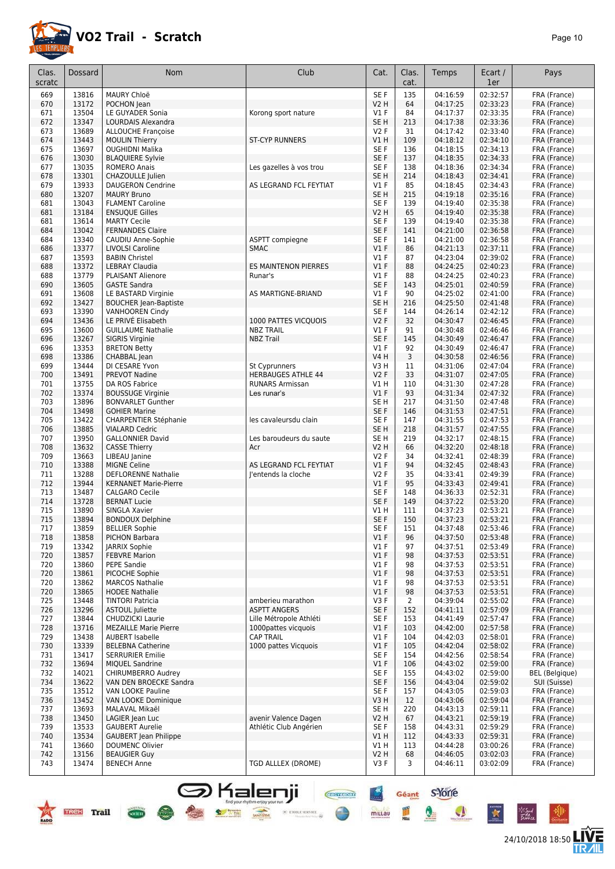

24/10/2018 18:50 **LIVE** 

| Clas.<br>scratc | <b>Dossard</b> | <b>Nom</b>                                             | Club                                                | Cat.                    | Clas.<br>cat. | Temps                | Ecart /<br>1er       | Pays                         |
|-----------------|----------------|--------------------------------------------------------|-----------------------------------------------------|-------------------------|---------------|----------------------|----------------------|------------------------------|
| 669             | 13816          | MAURY Chloë                                            |                                                     | SE F                    | 135           | 04:16:59             | 02:32:57             | FRA (France)                 |
| 670             | 13172          | POCHON Jean                                            |                                                     | <b>V2 H</b>             | 64            | 04:17:25             | 02:33:23             | FRA (France)                 |
| 671             | 13504          | LE GUYADER Sonia                                       | Korong sport nature                                 | $VI$ F                  | 84            | 04:17:37             | 02:33:35             | FRA (France)                 |
| 672             | 13347          | LOURDAIS Alexandra                                     |                                                     | SE <sub>H</sub>         | 213           | 04:17:38             | 02:33:36             | FRA (France)                 |
| 673             | 13689          | <b>ALLOUCHE Françoise</b>                              |                                                     | <b>V2F</b>              | 31            | 04:17:42             | 02:33:40             | FRA (France)                 |
| 674             | 13443          | <b>MOULIN Thierry</b>                                  | <b>ST-CYP RUNNERS</b>                               | VIH                     | 109           | 04:18:12             | 02:34:10             | FRA (France)                 |
| 675             | 13697          | <b>OUGHIDNI Malika</b>                                 |                                                     | SE F                    | 136           | 04:18:15             | 02:34:13             | FRA (France)                 |
| 676<br>677      | 13030          | <b>BLAQUIERE Sylvie</b><br><b>ROMERO Anais</b>         |                                                     | SE F<br>SE F            | 137<br>138    | 04:18:35             | 02:34:33<br>02:34:34 | FRA (France)                 |
| 678             | 13035<br>13301 | CHAZOULLE Julien                                       | Les gazelles à vos trou                             | SE <sub>H</sub>         | 214           | 04:18:36<br>04:18:43 | 02:34:41             | FRA (France)<br>FRA (France) |
| 679             | 13933          | <b>DAUGERON Cendrine</b>                               | AS LEGRAND FCL FEYTIAT                              | $VI$ F                  | 85            | 04:18:45             | 02:34:43             | FRA (France)                 |
| 680             | 13207          | <b>MAURY Bruno</b>                                     |                                                     | SE <sub>H</sub>         | 215           | 04:19:18             | 02:35:16             | FRA (France)                 |
| 681             | 13043          | <b>FLAMENT Caroline</b>                                |                                                     | SE F                    | 139           | 04:19:40             | 02:35:38             | FRA (France)                 |
| 681             | 13184          | <b>ENSUQUE Gilles</b>                                  |                                                     | <b>V2 H</b>             | 65            | 04:19:40             | 02:35:38             | FRA (France)                 |
| 681             | 13614          | <b>MARTY Cecile</b>                                    |                                                     | SE F                    | 139           | 04:19:40             | 02:35:38             | FRA (France)                 |
| 684<br>684      | 13042<br>13340 | <b>FERNANDES Claire</b><br>CAUDIU Anne-Sophie          | ASPTT compiegne                                     | SE F<br>SE F            | 141<br>141    | 04:21:00<br>04:21:00 | 02:36:58<br>02:36:58 | FRA (France)<br>FRA (France) |
| 686             | 13377          | <b>LIVOLSI Caroline</b>                                | <b>SMAC</b>                                         | $VI$ F                  | 86            | 04:21:13             | 02:37:11             | FRA (France)                 |
| 687             | 13593          | <b>BABIN Christel</b>                                  |                                                     | $VI$ F                  | 87            | 04:23:04             | 02:39:02             | FRA (France)                 |
| 688             | 13372          | <b>LEBRAY Claudia</b>                                  | <b>ES MAINTENON PIERRES</b>                         | $VI$ F                  | 88            | 04:24:25             | 02:40:23             | FRA (France)                 |
| 688             | 13779          | <b>PLAISANT Alienore</b>                               | Runar's                                             | $VI$ F                  | 88            | 04:24:25             | 02:40:23             | FRA (France)                 |
| 690             | 13605          | <b>GASTE Sandra</b>                                    |                                                     | SE F                    | 143           | 04:25:01             | 02:40:59             | FRA (France)                 |
| 691             | 13608          | LE BASTARD Virginie                                    | AS MARTIGNE-BRIAND                                  | $VI$ F                  | 90            | 04:25:02             | 02:41:00             | FRA (France)                 |
| 692<br>693      | 13427<br>13390 | <b>BOUCHER Jean-Baptiste</b>                           |                                                     | SE <sub>H</sub><br>SE F | 216<br>144    | 04:25:50<br>04:26:14 | 02:41:48<br>02:42:12 | FRA (France)                 |
| 694             | 13436          | <b>VANHOOREN Cindy</b><br>LE PRIVÉ Elisabeth           | 1000 PATTES VICQUOIS                                | V2F                     | 32            | 04:30:47             | 02:46:45             | FRA (France)<br>FRA (France) |
| 695             | 13600          | <b>GUILLAUME Nathalie</b>                              | <b>NBZ TRAIL</b>                                    | $VI$ F                  | 91            | 04:30:48             | 02:46:46             | FRA (France)                 |
| 696             | 13267          | <b>SIGRIS Virginie</b>                                 | <b>NBZ Trail</b>                                    | SE F                    | 145           | 04:30:49             | 02:46:47             | FRA (France)                 |
| 696             | 13353          | <b>BRETON Betty</b>                                    |                                                     | $VI$ F                  | 92            | 04:30:49             | 02:46:47             | FRA (France)                 |
| 698             | 13386          | CHABBAL Jean                                           |                                                     | <b>V4 H</b>             | 3             | 04:30:58             | 02:46:56             | FRA (France)                 |
| 699             | 13444          | DI CESARE Yvon                                         | St Cyprunners                                       | V3 H                    | 11            | 04:31:06             | 02:47:04             | FRA (France)                 |
| 700<br>701      | 13491<br>13755 | PREVOT Nadine<br>DA ROS Fabrice                        | <b>HERBAUGES ATHLE 44</b><br><b>RUNARS Armissan</b> | <b>V2F</b><br>V1 H      | 33<br>110     | 04:31:07<br>04:31:30 | 02:47:05<br>02:47:28 | FRA (France)<br>FRA (France) |
| 702             | 13374          | <b>BOUSSUGE Virginie</b>                               | Les runar's                                         | $VI$ F                  | 93            | 04:31:34             | 02:47:32             | FRA (France)                 |
| 703             | 13896          | <b>BONVARLET Gunther</b>                               |                                                     | SE H                    | 217           | 04:31:50             | 02:47:48             | FRA (France)                 |
| 704             | 13498          | <b>GOHIER Marine</b>                                   |                                                     | SE F                    | 146           | 04:31:53             | 02:47:51             | FRA (France)                 |
| 705             | 13422          | <b>CHARPENTIER Stéphanie</b>                           | les cavaleursdu clain                               | SE F                    | 147           | 04:31:55             | 02:47:53             | FRA (France)                 |
| 706             | 13885          | <b>VIALARD Cedric</b>                                  |                                                     | SE <sub>H</sub>         | 218           | 04:31:57             | 02:47:55             | FRA (France)                 |
| 707<br>708      | 13950<br>13632 | <b>GALLONNIER David</b><br><b>CASSE Thierry</b>        | Les baroudeurs du saute<br>Acr                      | SE <sub>H</sub><br>V2 H | 219<br>66     | 04:32:17<br>04:32:20 | 02:48:15<br>02:48:18 | FRA (France)<br>FRA (France) |
| 709             | 13663          | LIBEAU Janine                                          |                                                     | <b>V2F</b>              | 34            | 04:32:41             | 02:48:39             | FRA (France)                 |
| 710             | 13388          | <b>MIGNE Celine</b>                                    | AS LEGRAND FCL FEYTIAT                              | V1F                     | 94            | 04:32:45             | 02:48:43             | FRA (France)                 |
| 711             | 13288          | <b>DEFLORENNE Nathalie</b>                             | l'entends la cloche                                 | <b>V2F</b>              | 35            | 04:33:41             | 02:49:39             | FRA (France)                 |
| 712             | 13944          | <b>KERNANET Marie-Pierre</b>                           |                                                     | $VI$ F                  | 95            | 04:33:43             | 02:49:41             | FRA (France)                 |
| 713<br>714      | 13487<br>13728 | <b>CALGARO Cecile</b><br><b>BERNAT Lucie</b>           |                                                     | SE F<br>SE F            | 148<br>149    | 04:36:33<br>04:37:22 | 02:52:31<br>02:53:20 | FRA (France)<br>FRA (France) |
| 715             | 13890          | SINGLA Xavier                                          |                                                     | V1 H                    | 111           | 04:37:23             | 02:53:21             | FRA (France)                 |
| 715             | 13894          | <b>BONDOUX Delphine</b>                                |                                                     | SE F                    | 150           | 04:37:23             | 02:53:21             | FRA (France)                 |
| 717             | 13859          | <b>BELLIER Sophie</b>                                  |                                                     | SE F                    | 151           | 04:37:48             | 02:53:46             | FRA (France)                 |
| 718             | 13858          | PICHON Barbara                                         |                                                     | V1F                     | 96            | 04:37:50             | 02:53:48             | FRA (France)                 |
| 719             | 13342          | JARRIX Sophie                                          |                                                     | <b>V1 F</b>             | 97            | 04:37:51             | 02:53:49             | FRA (France)                 |
| 720             | 13857          | <b>FEBVRE Marion</b>                                   |                                                     | $VI$ F                  | 98            | 04:37:53             | 02:53:51             | FRA (France)                 |
| 720<br>720      | 13860<br>13861 | PEPE Sandie<br>PICOCHE Sophie                          |                                                     | $VI$ F<br>$VI$ F        | 98<br>98      | 04:37:53<br>04:37:53 | 02:53:51<br>02:53:51 | FRA (France)<br>FRA (France) |
| 720             | 13862          | <b>MARCOS Nathalie</b>                                 |                                                     | $VI$ F                  | 98            | 04:37:53             | 02:53:51             | FRA (France)                 |
| 720             | 13865          | <b>HODEE Nathalie</b>                                  |                                                     | $VI$ F                  | 98            | 04:37:53             | 02:53:51             | FRA (France)                 |
| 725             | 13448          | <b>TINTORI Patricia</b>                                | amberieu marathon                                   | V3F                     | 2             | 04:39:04             | 02:55:02             | FRA (France)                 |
| 726             | 13296          | ASTOUL Juliette                                        | <b>ASPTT ANGERS</b>                                 | SE F                    | 152           | 04:41:11             | 02:57:09             | FRA (France)                 |
| 727             | 13844          | CHUDZICKI Laurie                                       | Lille Métropole Athléti                             | SE F                    | 153           | 04:41:49             | 02:57:47             | FRA (France)                 |
| 728<br>729      | 13716<br>13438 | <b>MEZAILLE Marie Pierre</b><br><b>AUBERT Isabelle</b> | 1000pattes vicquois<br><b>CAP TRAIL</b>             | $VI$ F<br>$VI$ F        | 103<br>104    | 04:42:00<br>04:42:03 | 02:57:58<br>02:58:01 | FRA (France)<br>FRA (France) |
| 730             | 13339          | <b>BELEBNA Catherine</b>                               | 1000 pattes Vicquois                                | V1F                     | 105           | 04:42:04             | 02:58:02             | FRA (France)                 |
| 731             | 13417          | <b>SERRURIER Emilie</b>                                |                                                     | SE F                    | 154           | 04:42:56             | 02:58:54             | FRA (France)                 |
| 732             | 13694          | <b>MIQUEL Sandrine</b>                                 |                                                     | $VI$ F                  | 106           | 04:43:02             | 02:59:00             | FRA (France)                 |
| 732             | 14021          | CHIRUMBERRO Audrey                                     |                                                     | SE F                    | 155           | 04:43:02             | 02:59:00             | <b>BEL</b> (Belgique)        |
| 734             | 13622          | VAN DEN BROECKE Sandra                                 |                                                     | SE F                    | 156           | 04:43:04             | 02:59:02             | SUI (Suisse)                 |
| 735             | 13512          | VAN LOOKE Pauline                                      |                                                     | SE F                    | 157           | 04:43:05             | 02:59:03             | FRA (France)                 |
| 736<br>737      | 13452<br>13693 | VAN LOOKE Dominique<br>MALAVAL Mikaël                  |                                                     | V3H<br>SE H             | 12<br>220     | 04:43:06<br>04:43:13 | 02:59:04<br>02:59:11 | FRA (France)<br>FRA (France) |
| 738             | 13450          | LAGIER Jean Luc                                        | avenir Valence Dagen                                | V <sub>2</sub> H        | 67            | 04:43:21             | 02:59:19             | FRA (France)                 |
| 739             | 13533          | <b>GAUBERT Aurelie</b>                                 | Athlétic Club Angérien                              | SE F                    | 158           | 04:43:31             | 02:59:29             | FRA (France)                 |
| 740             | 13534          | <b>GAUBERT</b> Jean Philippe                           |                                                     | V1 H                    | 112           | 04:43:33             | 02:59:31             | FRA (France)                 |
| 741             | 13660          | <b>DOUMENC Olivier</b>                                 |                                                     | V1 H                    | 113           | 04:44:28             | 03:00:26             | FRA (France)                 |
| 742<br>743      | 13156<br>13474 | <b>BEAUGIER Guy</b><br><b>BENECH Anne</b>              | TGD ALLLEX (DROME)                                  | <b>V2 H</b><br>V3F      | 68<br>3       | 04:46:05<br>04:46:11 | 03:02:03<br>03:02:09 | FRA (France)<br>FRA (France) |
|                 |                |                                                        |                                                     |                         |               |                      |                      |                              |

**Shalenji** 

**BOOST THE MANUSCRIPT OF STREET AND STREET OF STREET AND STREET OF STREET AND STREET OF STREET OF STREET AND STREET OF STREET AND STREET OF STREET AND STREET OF STREET AND STREET OF STREET AND STREET OF STREET AND STREET O** 

TREE Trail com

Géant S'Yorre

 $\bullet$ 

**MILLAU** 

●

 $\bullet$ 

 $\mathbf{r}$ 

⊬‴